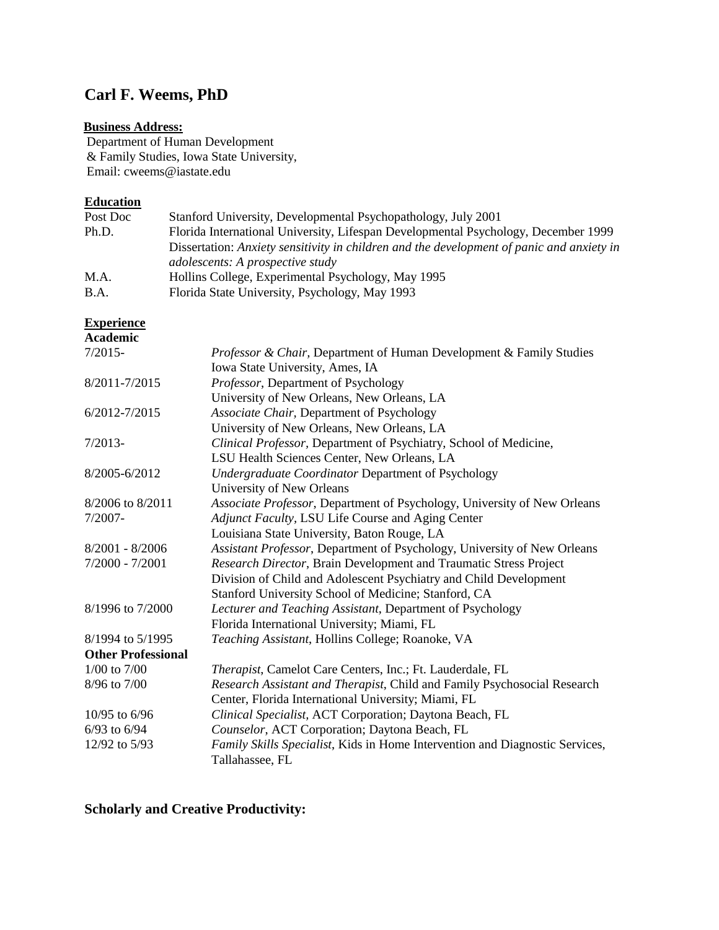# **Carl F. Weems, PhD**

## **Business Address:**

Department of Human Development & Family Studies, Iowa State University, Email: cweems@iastate.edu

## **Education**

| Post Doc    | Stanford University, Developmental Psychopathology, July 2001                             |
|-------------|-------------------------------------------------------------------------------------------|
| Ph.D.       | Florida International University, Lifespan Developmental Psychology, December 1999        |
|             | Dissertation: Anxiety sensitivity in children and the development of panic and anxiety in |
|             | adolescents: A prospective study                                                          |
| M.A.        | Hollins College, Experimental Psychology, May 1995                                        |
| <b>B.A.</b> | Florida State University, Psychology, May 1993                                            |

## **Experience**

| <b>Academic</b>           |                                                                                                 |
|---------------------------|-------------------------------------------------------------------------------------------------|
| $7/2015-$                 | Professor & Chair, Department of Human Development & Family Studies                             |
|                           | Iowa State University, Ames, IA                                                                 |
| 8/2011-7/2015             | Professor, Department of Psychology                                                             |
|                           | University of New Orleans, New Orleans, LA                                                      |
| 6/2012-7/2015             | Associate Chair, Department of Psychology                                                       |
|                           | University of New Orleans, New Orleans, LA                                                      |
| $7/2013-$                 | Clinical Professor, Department of Psychiatry, School of Medicine,                               |
|                           | LSU Health Sciences Center, New Orleans, LA                                                     |
| 8/2005-6/2012             | <b>Undergraduate Coordinator Department of Psychology</b>                                       |
|                           | University of New Orleans                                                                       |
| 8/2006 to 8/2011          | Associate Professor, Department of Psychology, University of New Orleans                        |
| $7/2007 -$                | Adjunct Faculty, LSU Life Course and Aging Center                                               |
|                           | Louisiana State University, Baton Rouge, LA                                                     |
| $8/2001 - 8/2006$         | Assistant Professor, Department of Psychology, University of New Orleans                        |
| $7/2000 - 7/2001$         | Research Director, Brain Development and Traumatic Stress Project                               |
|                           | Division of Child and Adolescent Psychiatry and Child Development                               |
|                           | Stanford University School of Medicine; Stanford, CA                                            |
| 8/1996 to 7/2000          | Lecturer and Teaching Assistant, Department of Psychology                                       |
|                           | Florida International University; Miami, FL                                                     |
| 8/1994 to 5/1995          | Teaching Assistant, Hollins College; Roanoke, VA                                                |
| <b>Other Professional</b> |                                                                                                 |
| $1/00$ to $7/00$          | Therapist, Camelot Care Centers, Inc.; Ft. Lauderdale, FL                                       |
| 8/96 to 7/00              | Research Assistant and Therapist, Child and Family Psychosocial Research                        |
|                           | Center, Florida International University; Miami, FL                                             |
| $10/95$ to 6/96           | Clinical Specialist, ACT Corporation; Daytona Beach, FL                                         |
| $6/93$ to $6/94$          | Counselor, ACT Corporation; Daytona Beach, FL                                                   |
| 12/92 to 5/93             | Family Skills Specialist, Kids in Home Intervention and Diagnostic Services,<br>Tallahassee, FL |

**Scholarly and Creative Productivity:**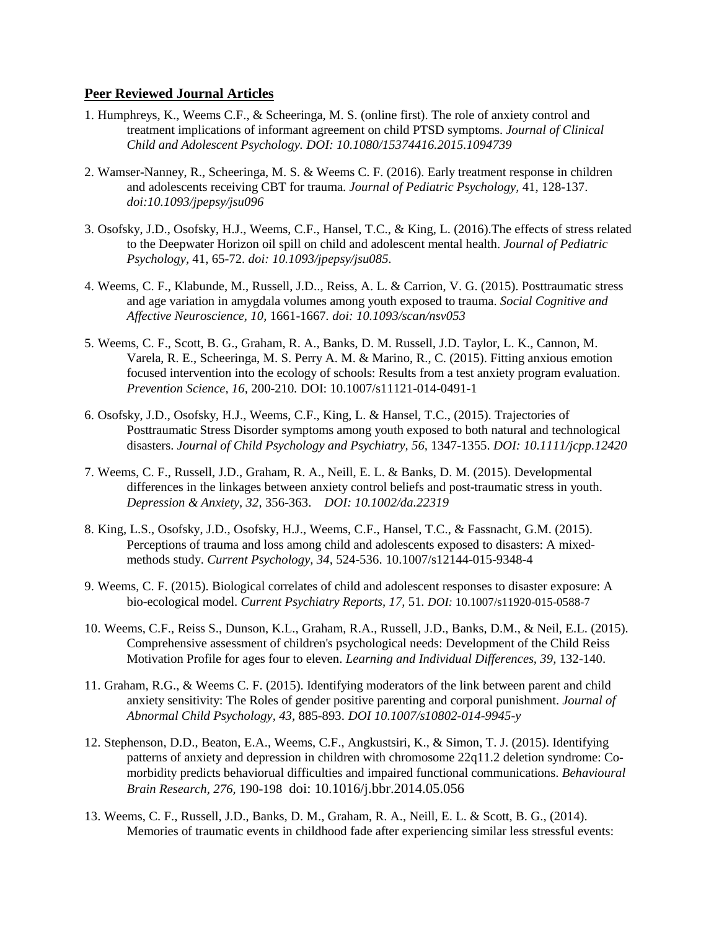### **Peer Reviewed Journal Articles**

- 1. Humphreys, K., Weems C.F., & Scheeringa, M. S. (online first). The role of anxiety control and treatment implications of informant agreement on child PTSD symptoms. *Journal of Clinical Child and Adolescent Psychology. DOI: 10.1080/15374416.2015.1094739*
- 2. Wamser-Nanney, R., Scheeringa, M. S. & Weems C. F. (2016). Early treatment response in children and adolescents receiving CBT for trauma. *Journal of Pediatric Psychology,* 41, 128-137. *doi:10.1093/jpepsy/jsu096*
- 3. Osofsky, J.D., Osofsky, H.J., Weems, C.F., Hansel, T.C., & King, L. (2016).The effects of stress related to the Deepwater Horizon oil spill on child and adolescent mental health. *Journal of Pediatric Psychology,* 41, 65-72. *doi: 10.1093/jpepsy/jsu085.*
- 4. Weems, C. F., Klabunde, M., Russell, J.D.., Reiss, A. L. & Carrion, V. G. (2015). Posttraumatic stress and age variation in amygdala volumes among youth exposed to trauma. *Social Cognitive and Affective Neuroscience, 10,* 1661-1667*. doi: 10.1093/scan/nsv053*
- 5. Weems, C. F., Scott, B. G., Graham, R. A., Banks, D. M. Russell, J.D. Taylor, L. K., Cannon, M. Varela, R. E., Scheeringa, M. S. Perry A. M. & Marino, R., C. (2015). Fitting anxious emotion focused intervention into the ecology of schools: Results from a test anxiety program evaluation. *Prevention Science, 16,* 200-210*.* DOI: 10.1007/s11121-014-0491-1
- 6. Osofsky, J.D., Osofsky, H.J., Weems, C.F., King, L. & Hansel, T.C., (2015). Trajectories of Posttraumatic Stress Disorder symptoms among youth exposed to both natural and technological disasters. *Journal of Child Psychology and Psychiatry, 56,* 1347-1355. *DOI: 10.1111/jcpp.12420*
- 7. Weems, C. F., Russell, J.D., Graham, R. A., Neill, E. L. & Banks, D. M. (2015). Developmental differences in the linkages between anxiety control beliefs and post-traumatic stress in youth. *Depression & Anxiety, 32,* 356-363. *DOI: 10.1002/da.22319*
- 8. King, L.S., Osofsky, J.D., Osofsky, H.J., Weems, C.F., Hansel, T.C., & Fassnacht, G.M. (2015). Perceptions of trauma and loss among child and adolescents exposed to disasters: A mixedmethods study. *Current Psychology, 34,* 524-536. 10.1007/s12144-015-9348-4
- 9. Weems, C. F. (2015). Biological correlates of child and adolescent responses to disaster exposure: A bio-ecological model. *Current Psychiatry Reports, 17,* 51*. DOI:* 10.1007/s11920-015-0588-7
- 10. Weems, C.F., Reiss S., Dunson, K.L., Graham, R.A., Russell, J.D., Banks, D.M., & Neil, E.L. (2015). Comprehensive assessment of children's psychological needs: Development of the Child Reiss Motivation Profile for ages four to eleven. *Learning and Individual Differences, 39,* 132-140.
- 11. Graham, R.G., & Weems C. F. (2015). Identifying moderators of the link between parent and child anxiety sensitivity: The Roles of gender positive parenting and corporal punishment. *Journal of Abnormal Child Psychology, 43,* 885-893. *DOI 10.1007/s10802-014-9945-y*
- 12. Stephenson, D.D., Beaton, E.A., Weems, C.F., Angkustsiri, K., & Simon, T. J. (2015). Identifying patterns of anxiety and depression in children with chromosome 22q11.2 deletion syndrome: Comorbidity predicts behaviorual difficulties and impaired functional communications. *Behavioural Brain Research, 276,* 190-198 doi: 10.1016/j.bbr.2014.05.056
- 13. Weems, C. F., Russell, J.D., Banks, D. M., Graham, R. A., Neill, E. L. & Scott, B. G., (2014). Memories of traumatic events in childhood fade after experiencing similar less stressful events: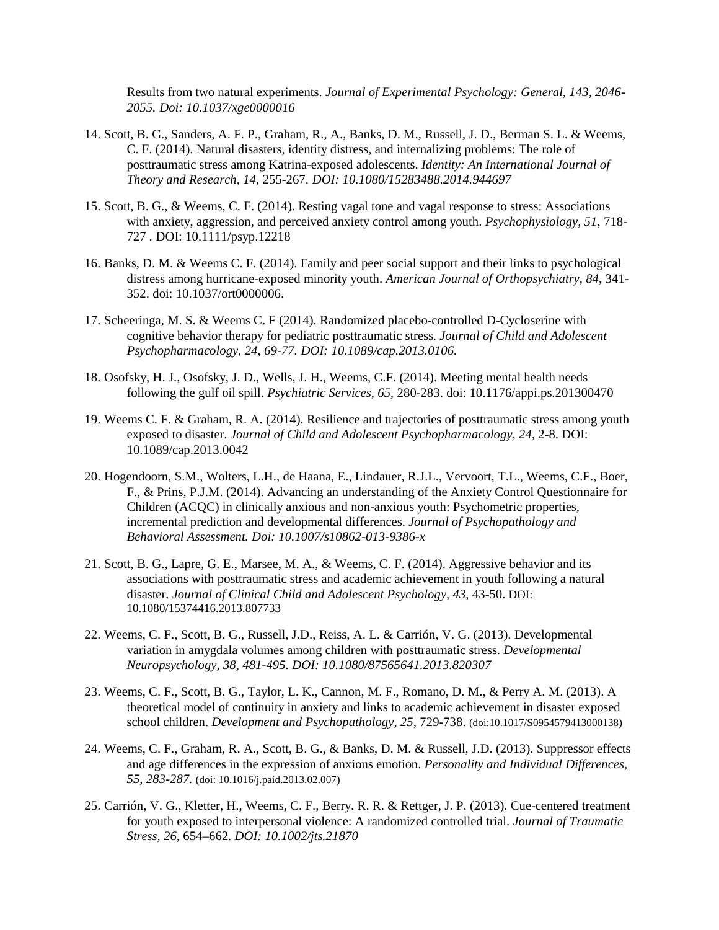Results from two natural experiments. *Journal of Experimental Psychology: General, 143, 2046- 2055. Doi: 10.1037/xge0000016*

- 14. Scott, B. G., Sanders, A. F. P., Graham, R., A., Banks, D. M., Russell, J. D., Berman S. L. & Weems, C. F. (2014). Natural disasters, identity distress, and internalizing problems: The role of posttraumatic stress among Katrina-exposed adolescents. *Identity: An International Journal of Theory and Research, 14,* 255-267. *DOI: 10.1080/15283488.2014.944697*
- 15. Scott, B. G., & Weems, C. F. (2014). Resting vagal tone and vagal response to stress: Associations with anxiety, aggression, and perceived anxiety control among youth. *Psychophysiology, 51,* 718- 727 *.* DOI: 10.1111/psyp.12218
- 16. Banks, D. M. & Weems C. F. (2014). Family and peer social support and their links to psychological distress among hurricane-exposed minority youth. *American Journal of Orthopsychiatry, 84,* 341- 352. doi: 10.1037/ort0000006.
- 17. Scheeringa, M. S. & Weems C. F (2014). Randomized placebo-controlled D-Cycloserine with cognitive behavior therapy for pediatric posttraumatic stress. *Journal of Child and Adolescent Psychopharmacology, 24, 69-77. DOI: 10.1089/cap.2013.0106.*
- 18. Osofsky, H. J., Osofsky, J. D., Wells, J. H., Weems, C.F. (2014). Meeting mental health needs following the gulf oil spill. *Psychiatric Services, 65,* 280-283. doi: 10.1176/appi.ps.201300470
- 19. Weems C. F. & Graham, R. A. (2014). Resilience and trajectories of posttraumatic stress among youth exposed to disaster. *Journal of Child and Adolescent Psychopharmacology, 24, 2-8.* DOI: 10.1089/cap.2013.0042
- 20. Hogendoorn, S.M., Wolters, L.H., de Haana, E., Lindauer, R.J.L., Vervoort, T.L., Weems, C.F., Boer, F., & Prins, P.J.M. (2014). Advancing an understanding of the Anxiety Control Questionnaire for Children (ACQC) in clinically anxious and non-anxious youth: Psychometric properties, incremental prediction and developmental differences. *Journal of Psychopathology and Behavioral Assessment. Doi: 10.1007/s10862-013-9386-x*
- 21. Scott, B. G., Lapre, G. E., Marsee, M. A., & Weems, C. F. (2014). Aggressive behavior and its associations with posttraumatic stress and academic achievement in youth following a natural disaster. *Journal of Clinical Child and Adolescent Psychology, 43,* 43-50. DOI: 10.1080/15374416.2013.807733
- 22. Weems, C. F., Scott, B. G., Russell, J.D., Reiss, A. L. & Carrión, V. G. (2013). Developmental variation in amygdala volumes among children with posttraumatic stress. *Developmental Neuropsychology, 38, 481-495. DOI: 10.1080/87565641.2013.820307*
- 23. Weems, C. F., Scott, B. G., Taylor, L. K., Cannon, M. F., Romano, D. M., & Perry A. M. (2013). A theoretical model of continuity in anxiety and links to academic achievement in disaster exposed school children. *Development and Psychopathology, 25,* 729-738. (doi:10.1017/S0954579413000138)
- 24. Weems, C. F., Graham, R. A., Scott, B. G., & Banks, D. M. & Russell, J.D. (2013). Suppressor effects and age differences in the expression of anxious emotion. *Personality and Individual Differences, 55, 283-287.* (doi: 10.1016/j.paid.2013.02.007)
- 25. Carrión, V. G., Kletter, H., Weems, C. F., Berry. R. R. & Rettger, J. P. (2013). Cue-centered treatment for youth exposed to interpersonal violence: A randomized controlled trial. *Journal of Traumatic Stress, 26,* 654–662*. DOI: 10.1002/jts.21870*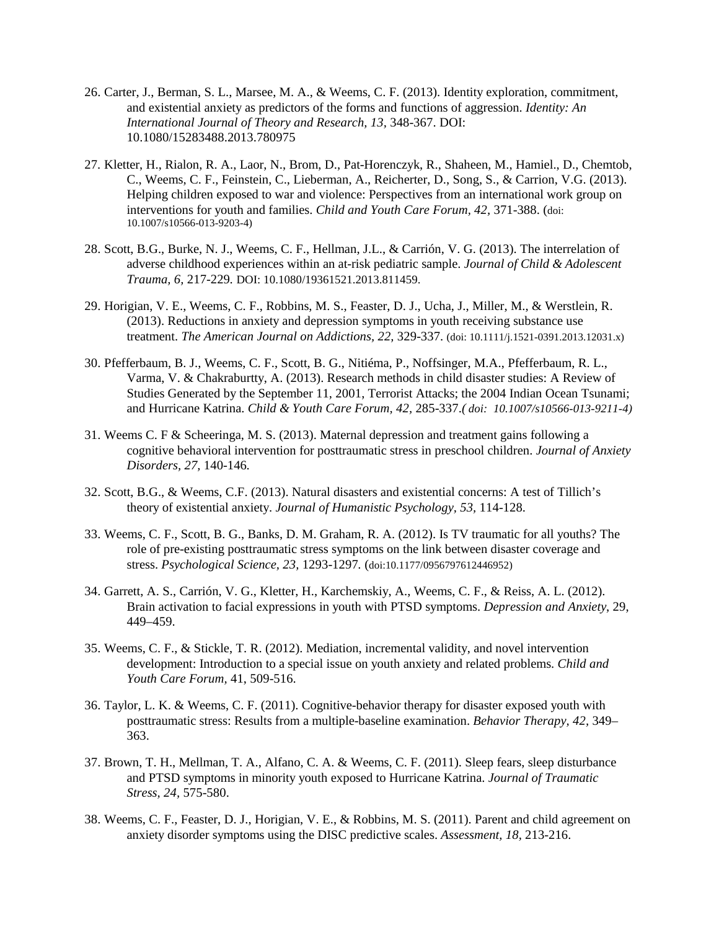- 26. Carter, J., Berman, S. L., Marsee, M. A., & Weems, C. F. (2013). Identity exploration, commitment, and existential anxiety as predictors of the forms and functions of aggression. *Identity: An International Journal of Theory and Research, 13,* 348-367. DOI: 10.1080/15283488.2013.780975
- 27. Kletter, H., Rialon, R. A., Laor, N., Brom, D., Pat-Horenczyk, R., Shaheen, M., Hamiel., D., Chemtob, C., Weems, C. F., Feinstein, C., Lieberman, A., Reicherter, D., Song, S., & Carrion, V.G. (2013). Helping children exposed to war and violence: Perspectives from an international work group on interventions for youth and families. *Child and Youth Care Forum, 42,* 371-388. (doi: 10.1007/s10566-013-9203-4)
- 28. Scott, B.G., Burke, N. J., Weems, C. F., Hellman, J.L., & Carrión, V. G. (2013). The interrelation of adverse childhood experiences within an at-risk pediatric sample. *Journal of Child & Adolescent Trauma, 6,* 217-229*.* DOI: 10.1080/19361521.2013.811459.
- 29. Horigian, V. E., Weems, C. F., Robbins, M. S., Feaster, D. J., Ucha, J., Miller, M., & Werstlein, R. (2013). Reductions in anxiety and depression symptoms in youth receiving substance use treatment. *The American Journal on Addictions, 22,* 329-337. (doi: 10.1111/j.1521-0391.2013.12031.x)
- 30. Pfefferbaum, B. J., Weems, C. F., Scott, B. G., Nitiéma, P., Noffsinger, M.A., Pfefferbaum, R. L., Varma, V. & Chakraburtty, A. (2013). Research methods in child disaster studies: A Review of Studies Generated by the September 11, 2001, Terrorist Attacks; the 2004 Indian Ocean Tsunami; and Hurricane Katrina. *Child & Youth Care Forum, 42,* 285-337.*( doi: 10.1007/s10566-013-9211-4)*
- 31. Weems C. F & Scheeringa, M. S. (2013). Maternal depression and treatment gains following a cognitive behavioral intervention for posttraumatic stress in preschool children. *Journal of Anxiety Disorders, 27,* 140-146*.*
- 32. Scott, B.G., & Weems, C.F. (2013). Natural disasters and existential concerns: A test of Tillich's theory of existential anxiety. *Journal of Humanistic Psychology, 53,* 114-128.
- 33. Weems, C. F., Scott, B. G., Banks, D. M. Graham, R. A. (2012). Is TV traumatic for all youths? The role of pre-existing posttraumatic stress symptoms on the link between disaster coverage and stress. *Psychological Science, 23,* 1293-1297*.* (doi:10.1177/0956797612446952)
- 34. Garrett, A. S., Carrión, V. G., Kletter, H., Karchemskiy, A., Weems, C. F., & Reiss, A. L. (2012). Brain activation to facial expressions in youth with PTSD symptoms. *Depression and Anxiety*, 29, 449–459.
- 35. Weems, C. F., & Stickle, T. R. (2012). Mediation, incremental validity, and novel intervention development: Introduction to a special issue on youth anxiety and related problems. *Child and Youth Care Forum,* 41, 509-516.
- 36. Taylor, L. K. & Weems, C. F. (2011). Cognitive-behavior therapy for disaster exposed youth with posttraumatic stress: Results from a multiple-baseline examination. *Behavior Therapy, 42,* 349– 363.
- 37. Brown, T. H., Mellman, T. A., Alfano, C. A. & Weems, C. F. (2011). Sleep fears, sleep disturbance and PTSD symptoms in minority youth exposed to Hurricane Katrina. *Journal of Traumatic Stress, 24,* 575-580.
- 38. Weems, C. F., Feaster, D. J., Horigian, V. E., & Robbins, M. S. (2011). Parent and child agreement on anxiety disorder symptoms using the DISC predictive scales. *Assessment, 18,* 213-216.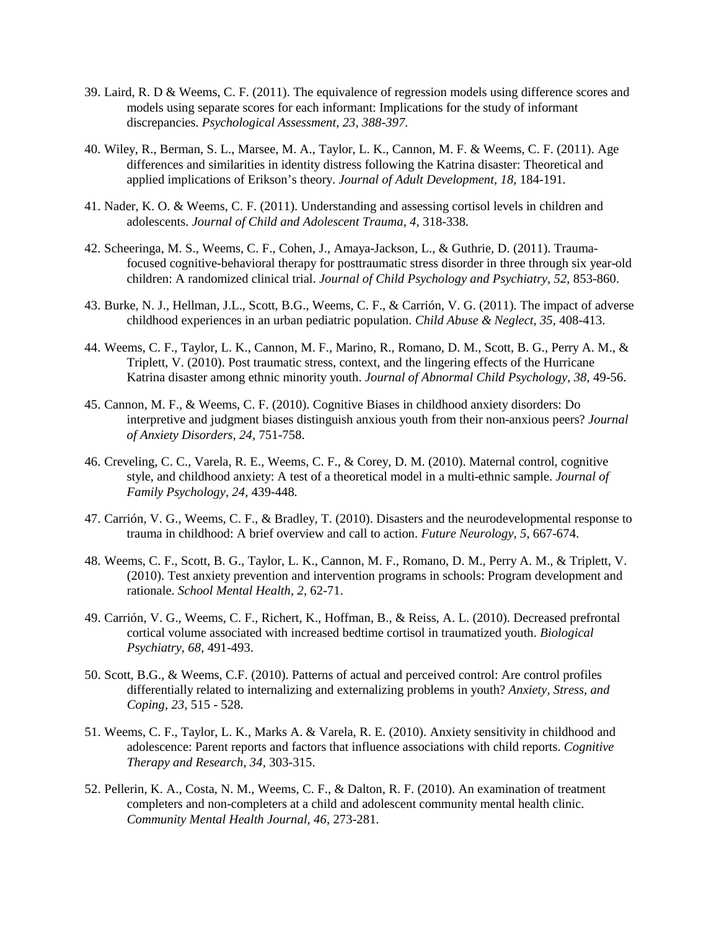- 39. Laird, R. D & Weems, C. F. (2011). The equivalence of regression models using difference scores and models using separate scores for each informant: Implications for the study of informant discrepancies. *Psychological Assessment, 23, 388-397.*
- 40. Wiley, R., Berman, S. L., Marsee, M. A., Taylor, L. K., Cannon, M. F. & Weems, C. F. (2011). Age differences and similarities in identity distress following the Katrina disaster: Theoretical and applied implications of Erikson's theory. *Journal of Adult Development, 18,* 184-191*.*
- 41. Nader, K. O. & Weems, C. F. (2011). Understanding and assessing cortisol levels in children and adolescents. *Journal of Child and Adolescent Trauma, 4,* 318-338*.*
- 42. Scheeringa, M. S., Weems, C. F., Cohen, J., Amaya-Jackson, L., & Guthrie, D. (2011). Traumafocused cognitive-behavioral therapy for posttraumatic stress disorder in three through six year-old children: A randomized clinical trial. *Journal of Child Psychology and Psychiatry, 52,* 853-860.
- 43. Burke, N. J., Hellman, J.L., Scott, B.G., Weems, C. F., & Carrión, V. G. (2011). The impact of adverse childhood experiences in an urban pediatric population. *Child Abuse & Neglect, 35,* 408-413.
- 44. Weems, C. F., Taylor, L. K., Cannon, M. F., Marino, R., Romano, D. M., Scott, B. G., Perry A. M., & Triplett, V. (2010). Post traumatic stress, context, and the lingering effects of the Hurricane Katrina disaster among ethnic minority youth. *Journal of Abnormal Child Psychology, 38,* 49-56.
- 45. Cannon, M. F., & Weems, C. F. (2010). Cognitive Biases in childhood anxiety disorders: Do interpretive and judgment biases distinguish anxious youth from their non-anxious peers? *Journal of Anxiety Disorders, 24,* 751-758.
- 46. Creveling, C. C., Varela, R. E., Weems, C. F., & Corey, D. M. (2010). Maternal control, cognitive style, and childhood anxiety: A test of a theoretical model in a multi-ethnic sample. *Journal of Family Psychology, 24,* 439-448*.*
- 47. Carrión, V. G., Weems, C. F., & Bradley, T. (2010). Disasters and the neurodevelopmental response to trauma in childhood: A brief overview and call to action. *Future Neurology, 5,* 667-674.
- 48. Weems, C. F., Scott, B. G., Taylor, L. K., Cannon, M. F., Romano, D. M., Perry A. M., & Triplett, V. (2010). Test anxiety prevention and intervention programs in schools: Program development and rationale. *School Mental Health, 2,* 62-71.
- 49. Carrión, V. G., Weems, C. F., Richert, K., Hoffman, B., & Reiss, A. L. (2010). Decreased prefrontal cortical volume associated with increased bedtime cortisol in traumatized youth. *Biological Psychiatry, 68,* 491-493.
- 50. Scott, B.G., & Weems, C.F. (2010). Patterns of actual and perceived control: Are control profiles differentially related to internalizing and externalizing problems in youth? *Anxiety, Stress, and Coping, 23,* 515 - 528.
- 51. Weems, C. F., Taylor, L. K., Marks A. & Varela, R. E. (2010). Anxiety sensitivity in childhood and adolescence: Parent reports and factors that influence associations with child reports. *Cognitive Therapy and Research, 34,* 303-315.
- 52. Pellerin, K. A., Costa, N. M., Weems, C. F., & Dalton, R. F. (2010). An examination of treatment completers and non-completers at a child and adolescent community mental health clinic. *Community Mental Health Journal, 46,* 273-281*.*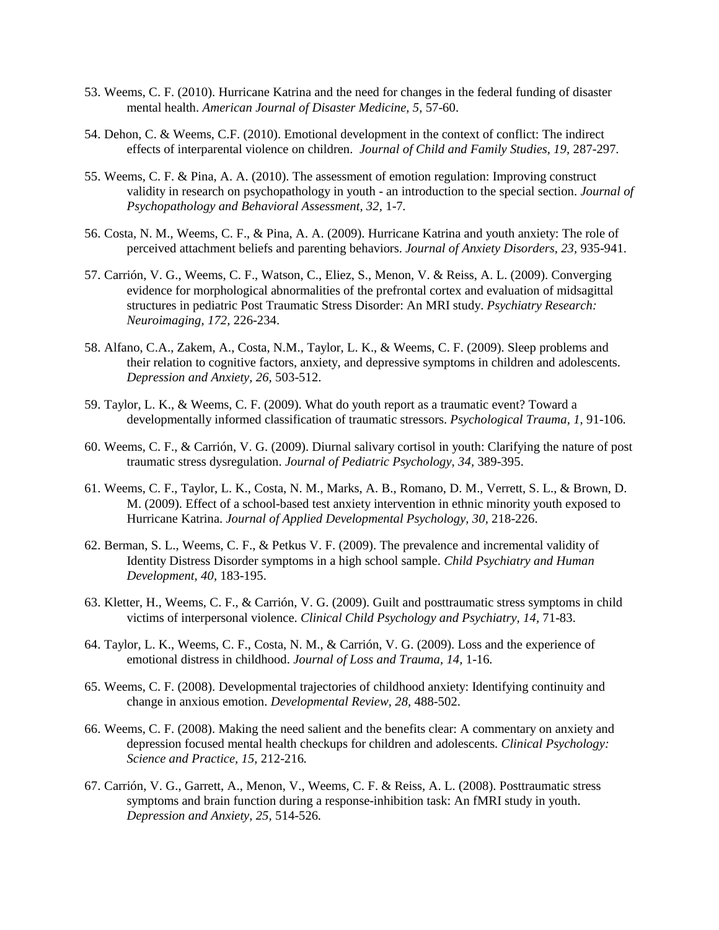- 53. Weems, C. F. (2010). Hurricane Katrina and the need for changes in the federal funding of disaster mental health. *American Journal of Disaster Medicine, 5,* 57-60.
- 54. Dehon, C. & Weems, C.F. (2010). Emotional development in the context of conflict: The indirect effects of interparental violence on children. *Journal of Child and Family Studies, 19,* 287-297*.*
- 55. Weems, C. F. & Pina, A. A. (2010). The assessment of emotion regulation: Improving construct validity in research on psychopathology in youth - an introduction to the special section. *Journal of Psychopathology and Behavioral Assessment, 32,* 1-7*.*
- 56. Costa, N. M., Weems, C. F., & Pina, A. A. (2009). Hurricane Katrina and youth anxiety: The role of perceived attachment beliefs and parenting behaviors. *Journal of Anxiety Disorders, 23,* 935-941.
- 57. Carrión, V. G., Weems, C. F., Watson, C., Eliez, S., Menon, V. & Reiss, A. L. (2009). Converging evidence for morphological abnormalities of the prefrontal cortex and evaluation of midsagittal structures in pediatric Post Traumatic Stress Disorder: An MRI study. *Psychiatry Research: Neuroimaging, 172,* 226-234.
- 58. Alfano, C.A., Zakem, A., Costa, N.M., Taylor, L. K., & Weems, C. F. (2009). Sleep problems and their relation to cognitive factors, anxiety, and depressive symptoms in children and adolescents. *Depression and Anxiety, 26,* 503-512.
- 59. Taylor, L. K., & Weems, C. F. (2009). What do youth report as a traumatic event? Toward a developmentally informed classification of traumatic stressors. *Psychological Trauma, 1,* 91-106*.*
- 60. Weems, C. F., & Carrión, V. G. (2009). Diurnal salivary cortisol in youth: Clarifying the nature of post traumatic stress dysregulation. *Journal of Pediatric Psychology, 34,* 389-395.
- 61. Weems, C. F., Taylor, L. K., Costa, N. M., Marks, A. B., Romano, D. M., Verrett, S. L., & Brown, D. M. (2009). Effect of a school-based test anxiety intervention in ethnic minority youth exposed to Hurricane Katrina. *Journal of Applied Developmental Psychology, 30,* 218-226.
- 62. Berman, S. L., Weems, C. F., & Petkus V. F. (2009). The prevalence and incremental validity of Identity Distress Disorder symptoms in a high school sample. *Child Psychiatry and Human Development, 40,* 183-195.
- 63. Kletter, H., Weems, C. F., & Carrión, V. G. (2009). Guilt and posttraumatic stress symptoms in child victims of interpersonal violence. *Clinical Child Psychology and Psychiatry, 14,* 71-83.
- 64. Taylor, L. K., Weems, C. F., Costa, N. M., & Carrión, V. G. (2009). Loss and the experience of emotional distress in childhood. *Journal of Loss and Trauma, 14,* 1-16*.*
- 65. Weems, C. F. (2008). Developmental trajectories of childhood anxiety: Identifying continuity and change in anxious emotion. *Developmental Review, 28,* 488-502.
- 66. Weems, C. F. (2008). Making the need salient and the benefits clear: A commentary on anxiety and depression focused mental health checkups for children and adolescents. *Clinical Psychology: Science and Practice, 15,* 212-216*.*
- 67. Carrión, V. G., Garrett, A., Menon, V., Weems, C. F. & Reiss, A. L. (2008). Posttraumatic stress symptoms and brain function during a response-inhibition task: An fMRI study in youth. *Depression and Anxiety, 25,* 514-526*.*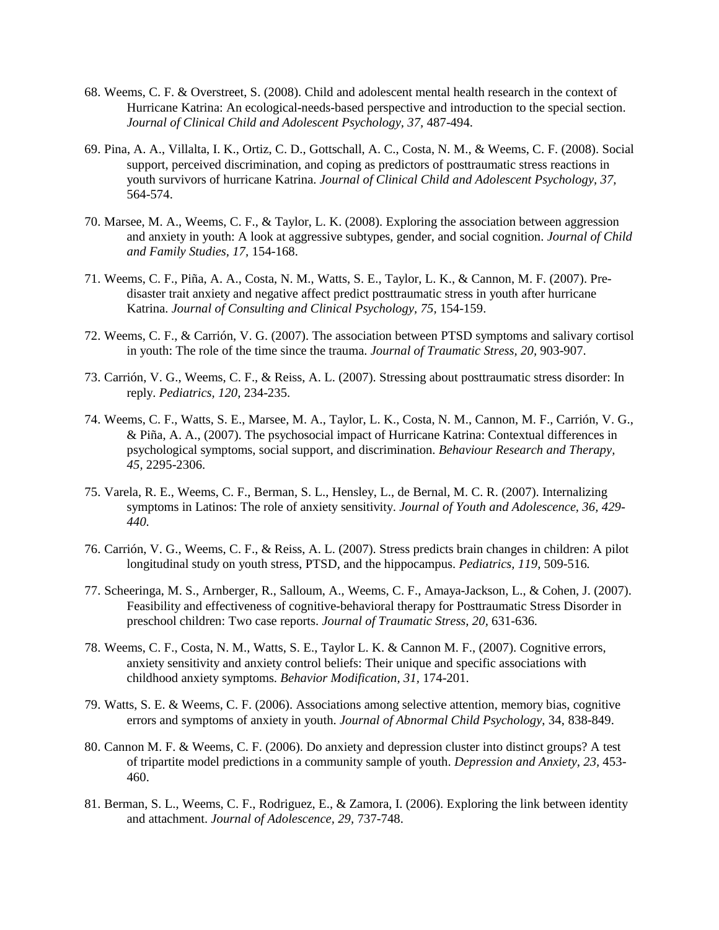- 68. Weems, C. F. & Overstreet, S. (2008). Child and adolescent mental health research in the context of Hurricane Katrina: An ecological-needs-based perspective and introduction to the special section. *Journal of Clinical Child and Adolescent Psychology, 37,* 487-494.
- 69. Pina, A. A., Villalta, I. K., Ortiz, C. D., Gottschall, A. C., Costa, N. M., & Weems, C. F. (2008). Social support, perceived discrimination, and coping as predictors of posttraumatic stress reactions in youth survivors of hurricane Katrina. *Journal of Clinical Child and Adolescent Psychology, 37,*  564-574.
- 70. Marsee, M. A., Weems, C. F., & Taylor, L. K. (2008). Exploring the association between aggression and anxiety in youth: A look at aggressive subtypes, gender, and social cognition. *Journal of Child and Family Studies, 17,* 154-168.
- 71. Weems, C. F., Piña, A. A., Costa, N. M., Watts, S. E., Taylor, L. K., & Cannon, M. F. (2007). Predisaster trait anxiety and negative affect predict posttraumatic stress in youth after hurricane Katrina. *Journal of Consulting and Clinical Psychology, 75,* 154-159.
- 72. Weems, C. F., & Carrión, V. G. (2007). The association between PTSD symptoms and salivary cortisol in youth: The role of the time since the trauma. *Journal of Traumatic Stress, 20,* 903-907.
- 73. Carrión, V. G., Weems, C. F., & Reiss, A. L. (2007). Stressing about posttraumatic stress disorder: In reply. *Pediatrics, 120,* 234-235.
- 74. Weems, C. F., Watts, S. E., Marsee, M. A., Taylor, L. K., Costa, N. M., Cannon, M. F., Carrión, V. G., & Piña, A. A., (2007). The psychosocial impact of Hurricane Katrina: Contextual differences in psychological symptoms, social support, and discrimination. *Behaviour Research and Therapy, 45,* 2295-2306.
- 75. Varela, R. E., Weems, C. F., Berman, S. L., Hensley, L., de Bernal, M. C. R. (2007). Internalizing symptoms in Latinos: The role of anxiety sensitivity. *Journal of Youth and Adolescence, 36, 429- 440.*
- 76. Carrión, V. G., Weems, C. F., & Reiss, A. L. (2007). Stress predicts brain changes in children: A pilot longitudinal study on youth stress, PTSD, and the hippocampus. *Pediatrics, 119,* 509-516*.*
- 77. Scheeringa, M. S., Arnberger, R., Salloum, A., Weems, C. F., Amaya-Jackson, L., & Cohen, J. (2007). Feasibility and effectiveness of cognitive-behavioral therapy for Posttraumatic Stress Disorder in preschool children: Two case reports. *Journal of Traumatic Stress, 20,* 631-636*.*
- 78. Weems, C. F., Costa, N. M., Watts, S. E., Taylor L. K. & Cannon M. F., (2007). Cognitive errors, anxiety sensitivity and anxiety control beliefs: Their unique and specific associations with childhood anxiety symptoms. *Behavior Modification, 31,* 174-201.
- 79. Watts, S. E. & Weems, C. F. (2006). Associations among selective attention, memory bias, cognitive errors and symptoms of anxiety in youth. *Journal of Abnormal Child Psychology*, 34, 838-849.
- 80. Cannon M. F. & Weems, C. F. (2006). Do anxiety and depression cluster into distinct groups? A test of tripartite model predictions in a community sample of youth. *Depression and Anxiety, 23,* 453- 460.
- 81. Berman, S. L., Weems, C. F., Rodriguez, E., & Zamora, I. (2006). Exploring the link between identity and attachment. *Journal of Adolescence, 29,* 737-748.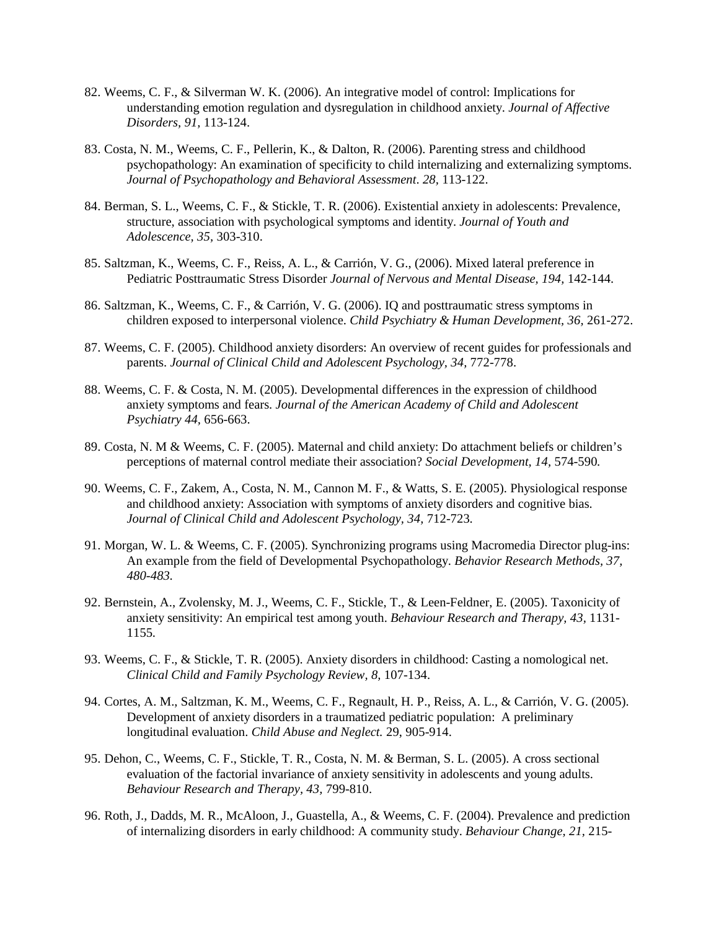- 82. Weems, C. F., & Silverman W. K. (2006). An integrative model of control: Implications for understanding emotion regulation and dysregulation in childhood anxiety. *Journal of Affective Disorders, 91,* 113-124.
- 83. Costa, N. M., Weems, C. F., Pellerin, K., & Dalton, R. (2006). Parenting stress and childhood psychopathology: An examination of specificity to child internalizing and externalizing symptoms. *Journal of Psychopathology and Behavioral Assessment*. *28,* 113-122.
- 84. Berman, S. L., Weems, C. F., & Stickle, T. R. (2006). Existential anxiety in adolescents: Prevalence, structure, association with psychological symptoms and identity. *Journal of Youth and Adolescence, 35,* 303-310.
- 85. Saltzman, K., Weems, C. F., Reiss, A. L., & Carrión, V. G., (2006). Mixed lateral preference in Pediatric Posttraumatic Stress Disorder *Journal of Nervous and Mental Disease, 194,* 142-144.
- 86. Saltzman, K., Weems, C. F., & Carrión, V. G. (2006). IQ and posttraumatic stress symptoms in children exposed to interpersonal violence. *Child Psychiatry & Human Development, 36,* 261-272.
- 87. Weems, C. F. (2005). Childhood anxiety disorders: An overview of recent guides for professionals and parents. *Journal of Clinical Child and Adolescent Psychology, 34, 772-778.*
- 88. Weems, C. F. & Costa, N. M. (2005). Developmental differences in the expression of childhood anxiety symptoms and fears. *Journal of the American Academy of Child and Adolescent Psychiatry 44,* 656-663.
- 89. Costa, N. M & Weems, C. F. (2005). Maternal and child anxiety: Do attachment beliefs or children's perceptions of maternal control mediate their association? *Social Development, 14,* 574-590*.*
- 90. Weems, C. F., Zakem, A., Costa, N. M., Cannon M. F., & Watts, S. E. (2005). Physiological response and childhood anxiety: Association with symptoms of anxiety disorders and cognitive bias. *Journal of Clinical Child and Adolescent Psychology, 34,* 712-723*.*
- 91. Morgan, W. L. & Weems, C. F. (2005). Synchronizing programs using Macromedia Director plug-ins: An example from the field of Developmental Psychopathology. *Behavior Research Methods, 37, 480-483.*
- 92. Bernstein, A., Zvolensky, M. J., Weems, C. F., Stickle, T., & Leen-Feldner, E. (2005). Taxonicity of anxiety sensitivity: An empirical test among youth. *Behaviour Research and Therapy, 43,* 1131- 1155*.*
- 93. Weems, C. F., & Stickle, T. R. (2005). Anxiety disorders in childhood: Casting a nomological net. *Clinical Child and Family Psychology Review, 8,* 107-134.
- 94. Cortes, A. M., Saltzman, K. M., Weems, C. F., Regnault, H. P., Reiss, A. L., & Carrión, V. G. (2005). Development of anxiety disorders in a traumatized pediatric population: A preliminary longitudinal evaluation. *Child Abuse and Neglect.* 29, 905-914.
- 95. Dehon, C., Weems, C. F., Stickle, T. R., Costa, N. M. & Berman, S. L. (2005). A cross sectional evaluation of the factorial invariance of anxiety sensitivity in adolescents and young adults. *Behaviour Research and Therapy, 43,* 799-810.
- 96. Roth, J., Dadds, M. R., McAloon, J., Guastella, A., & Weems, C. F. (2004). Prevalence and prediction of internalizing disorders in early childhood: A community study. *Behaviour Change, 21,* 215-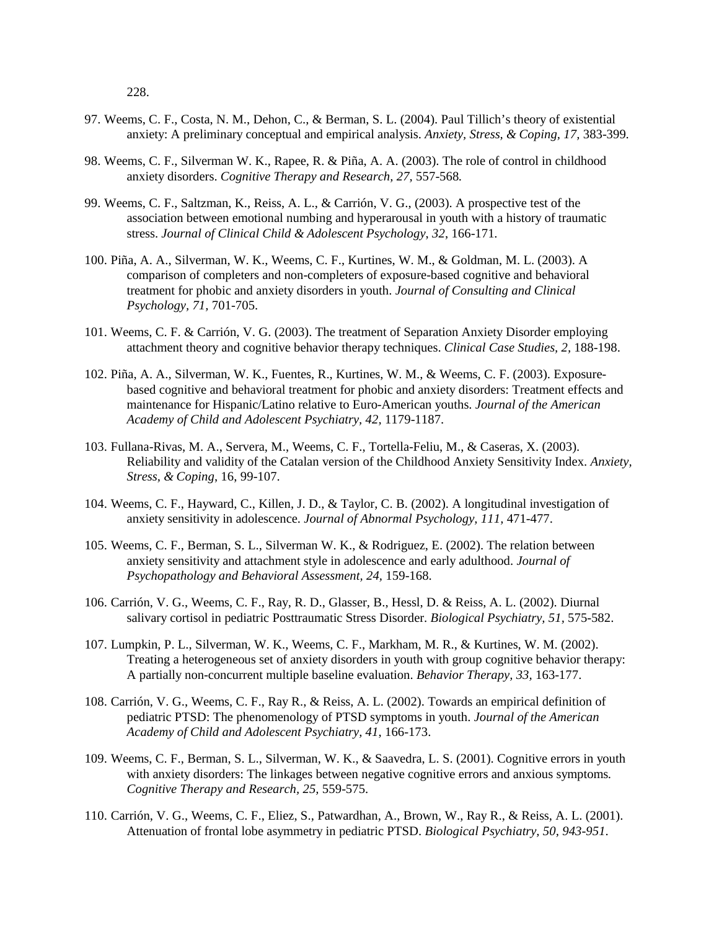228.

- 97. Weems, C. F., Costa, N. M., Dehon, C., & Berman, S. L. (2004). Paul Tillich's theory of existential anxiety: A preliminary conceptual and empirical analysis. *Anxiety, Stress, & Coping, 17,* 383-399*.*
- 98. Weems, C. F., Silverman W. K., Rapee, R. & Piña, A. A. (2003). The role of control in childhood anxiety disorders. *Cognitive Therapy and Research, 27,* 557-568*.*
- 99. Weems, C. F., Saltzman, K., Reiss, A. L., & Carrión, V. G., (2003). A prospective test of the association between emotional numbing and hyperarousal in youth with a history of traumatic stress. *Journal of Clinical Child & Adolescent Psychology*, *32*, 166-171*.*
- 100. Piña, A. A., Silverman, W. K., Weems, C. F., Kurtines, W. M., & Goldman, M. L. (2003). A comparison of completers and non-completers of exposure-based cognitive and behavioral treatment for phobic and anxiety disorders in youth. *Journal of Consulting and Clinical Psychology, 71,* 701-705.
- 101. Weems, C. F. & Carrión, V. G. (2003). The treatment of Separation Anxiety Disorder employing attachment theory and cognitive behavior therapy techniques. *Clinical Case Studies, 2,* 188-198.
- 102. Piña, A. A., Silverman, W. K., Fuentes, R., Kurtines, W. M., & Weems, C. F. (2003). Exposurebased cognitive and behavioral treatment for phobic and anxiety disorders: Treatment effects and maintenance for Hispanic/Latino relative to Euro-American youths. *Journal of the American Academy of Child and Adolescent Psychiatry, 42,* 1179-1187.
- 103. Fullana-Rivas, M. A., Servera, M., Weems, C. F., Tortella-Feliu, M., & Caseras, X. (2003). Reliability and validity of the Catalan version of the Childhood Anxiety Sensitivity Index. *Anxiety, Stress, & Coping*, 16, 99-107.
- 104. Weems, C. F., Hayward, C., Killen, J. D., & Taylor, C. B. (2002). A longitudinal investigation of anxiety sensitivity in adolescence. *Journal of Abnormal Psychology, 111,* 471-477.
- 105. Weems, C. F., Berman, S. L., Silverman W. K., & Rodriguez, E. (2002). The relation between anxiety sensitivity and attachment style in adolescence and early adulthood. *Journal of Psychopathology and Behavioral Assessment, 24,* 159-168.
- 106. Carrión, V. G., Weems, C. F., Ray, R. D., Glasser, B., Hessl, D. & Reiss, A. L. (2002). Diurnal salivary cortisol in pediatric Posttraumatic Stress Disorder. *Biological Psychiatry, 51,* 575-582.
- 107. Lumpkin, P. L., Silverman, W. K., Weems, C. F., Markham, M. R., & Kurtines, W. M. (2002). Treating a heterogeneous set of anxiety disorders in youth with group cognitive behavior therapy: A partially non-concurrent multiple baseline evaluation. *Behavior Therapy, 33,* 163-177.
- 108. Carrión, V. G., Weems, C. F., Ray R., & Reiss, A. L. (2002). Towards an empirical definition of pediatric PTSD: The phenomenology of PTSD symptoms in youth. *Journal of the American Academy of Child and Adolescent Psychiatry, 41*, 166-173.
- 109. Weems, C. F., Berman, S. L., Silverman, W. K., & Saavedra, L. S. (2001). Cognitive errors in youth with anxiety disorders: The linkages between negative cognitive errors and anxious symptoms*. Cognitive Therapy and Research, 25,* 559-575.
- 110. Carrión, V. G., Weems, C. F., Eliez, S., Patwardhan, A., Brown, W., Ray R., & Reiss, A. L. (2001). Attenuation of frontal lobe asymmetry in pediatric PTSD. *Biological Psychiatry, 50, 943-951*.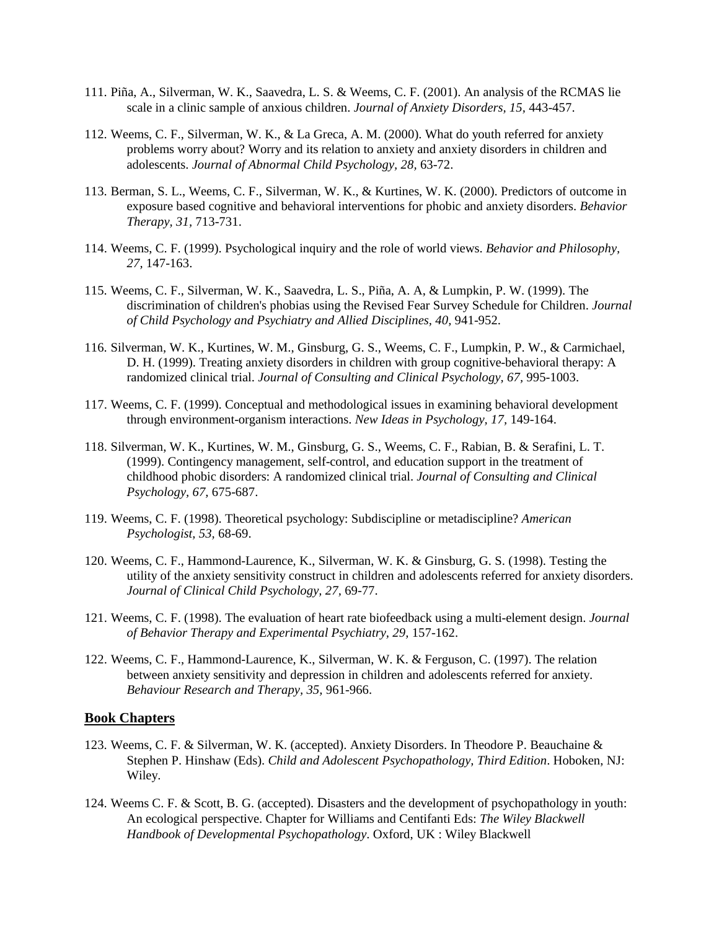- 111. Piña, A., Silverman, W. K., Saavedra, L. S. & Weems, C. F. (2001). An analysis of the RCMAS lie scale in a clinic sample of anxious children. *Journal of Anxiety Disorders, 15,* 443-457.
- 112. Weems, C. F., Silverman, W. K., & La Greca, A. M. (2000). What do youth referred for anxiety problems worry about? Worry and its relation to anxiety and anxiety disorders in children and adolescents. *Journal of Abnormal Child Psychology, 28,* 63-72.
- 113. Berman, S. L., Weems, C. F., Silverman, W. K., & Kurtines, W. K. (2000). Predictors of outcome in exposure based cognitive and behavioral interventions for phobic and anxiety disorders. *Behavior Therapy, 31,* 713-731.
- 114. Weems, C. F. (1999). Psychological inquiry and the role of world views. *Behavior and Philosophy, 27,* 147-163.
- 115. Weems, C. F., Silverman, W. K., Saavedra, L. S., Piña, A. A, & Lumpkin, P. W. (1999). The discrimination of children's phobias using the Revised Fear Survey Schedule for Children. *Journal of Child Psychology and Psychiatry and Allied Disciplines, 40,* 941-952.
- 116. Silverman, W. K., Kurtines, W. M., Ginsburg, G. S., Weems, C. F., Lumpkin, P. W., & Carmichael, D. H. (1999). Treating anxiety disorders in children with group cognitive-behavioral therapy: A randomized clinical trial. *Journal of Consulting and Clinical Psychology, 67,* 995-1003.
- 117. Weems, C. F. (1999). Conceptual and methodological issues in examining behavioral development through environment-organism interactions. *New Ideas in Psychology, 17,* 149-164.
- 118. Silverman, W. K., Kurtines, W. M., Ginsburg, G. S., Weems, C. F., Rabian, B. & Serafini, L. T. (1999). Contingency management, self-control, and education support in the treatment of childhood phobic disorders: A randomized clinical trial. *Journal of Consulting and Clinical Psychology, 67,* 675-687.
- 119. Weems, C. F. (1998). Theoretical psychology: Subdiscipline or metadiscipline? *American Psychologist, 53,* 68-69.
- 120. Weems, C. F., Hammond-Laurence, K., Silverman, W. K. & Ginsburg, G. S. (1998). Testing the utility of the anxiety sensitivity construct in children and adolescents referred for anxiety disorders. *Journal of Clinical Child Psychology, 27,* 69-77.
- 121. Weems, C. F. (1998). The evaluation of heart rate biofeedback using a multi-element design. *Journal of Behavior Therapy and Experimental Psychiatry, 29,* 157-162.
- 122. Weems, C. F., Hammond-Laurence, K., Silverman, W. K. & Ferguson, C. (1997). The relation between anxiety sensitivity and depression in children and adolescents referred for anxiety. *Behaviour Research and Therapy, 35,* 961-966.

### **Book Chapters**

- 123. Weems, C. F. & Silverman, W. K. (accepted). Anxiety Disorders. In Theodore P. Beauchaine & Stephen P. Hinshaw (Eds). *Child and Adolescent Psychopathology, Third Edition*. Hoboken, NJ: Wiley.
- 124. Weems C. F. & Scott, B. G. (accepted). Disasters and the development of psychopathology in youth: An ecological perspective. Chapter for Williams and Centifanti Eds: *The Wiley Blackwell Handbook of Developmental Psychopathology*. Oxford, UK : Wiley Blackwell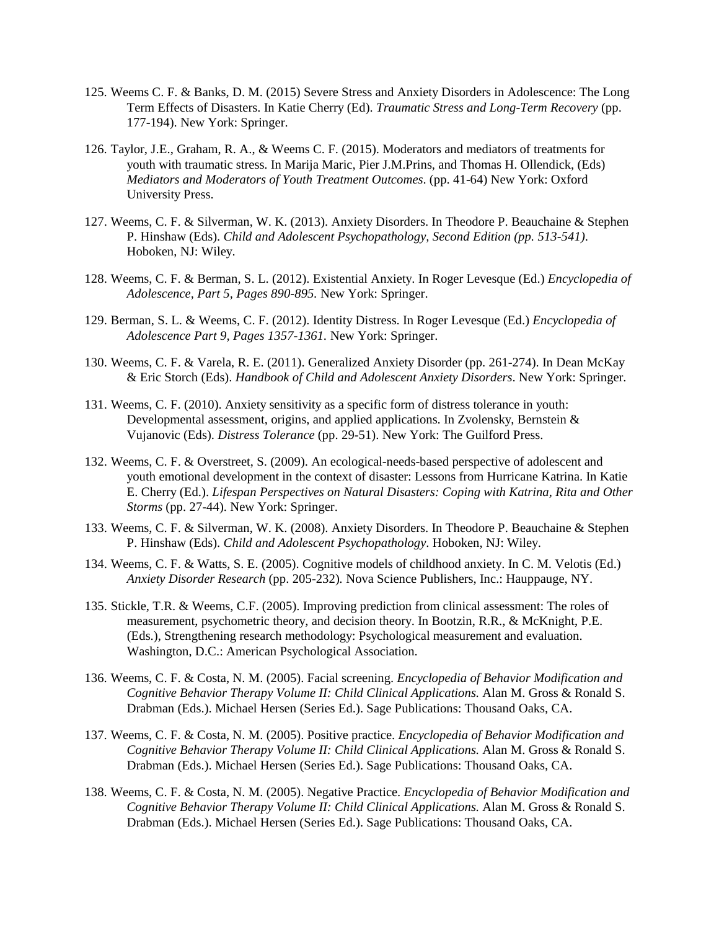- 125. Weems C. F. & Banks, D. M. (2015) Severe Stress and Anxiety Disorders in Adolescence: The Long Term Effects of Disasters. In Katie Cherry (Ed). *Traumatic Stress and Long-Term Recovery* (pp. 177-194). New York: Springer.
- 126. Taylor, J.E., Graham, R. A., & Weems C. F. (2015). Moderators and mediators of treatments for youth with traumatic stress. In Marija Maric, Pier J.M.Prins, and Thomas H. Ollendick, (Eds) *Mediators and Moderators of Youth Treatment Outcomes*. (pp. 41-64) New York: Oxford University Press.
- 127. Weems, C. F. & Silverman, W. K. (2013). Anxiety Disorders. In Theodore P. Beauchaine & Stephen P. Hinshaw (Eds). *Child and Adolescent Psychopathology, Second Edition (pp. 513-541)*. Hoboken, NJ: Wiley.
- 128. Weems, C. F. & Berman, S. L. (2012). Existential Anxiety. In Roger Levesque (Ed.) *Encyclopedia of Adolescence, Part 5, Pages 890-895.* New York: Springer.
- 129. Berman, S. L. & Weems, C. F. (2012). Identity Distress. In Roger Levesque (Ed.) *Encyclopedia of Adolescence Part 9, Pages 1357-1361.* New York: Springer.
- 130. Weems, C. F. & Varela, R. E. (2011). Generalized Anxiety Disorder (pp. 261-274). In Dean McKay & Eric Storch (Eds). *Handbook of Child and Adolescent Anxiety Disorders*. New York: Springer.
- 131. Weems, C. F. (2010). Anxiety sensitivity as a specific form of distress tolerance in youth: Developmental assessment, origins, and applied applications. In Zvolensky, Bernstein & Vujanovic (Eds). *Distress Tolerance* (pp. 29-51). New York: The Guilford Press.
- 132. Weems, C. F. & Overstreet, S. (2009). An ecological-needs-based perspective of adolescent and youth emotional development in the context of disaster: Lessons from Hurricane Katrina. In Katie E. Cherry (Ed.). *Lifespan Perspectives on Natural Disasters: Coping with Katrina, Rita and Other Storms* (pp. 27-44). New York: Springer.
- 133. Weems, C. F. & Silverman, W. K. (2008). Anxiety Disorders. In Theodore P. Beauchaine & Stephen P. Hinshaw (Eds). *Child and Adolescent Psychopathology*. Hoboken, NJ: Wiley.
- 134. Weems, C. F. & Watts, S. E. (2005). Cognitive models of childhood anxiety. In C. M. Velotis (Ed.) *Anxiety Disorder Research* (pp. 205-232)*.* Nova Science Publishers, Inc.: Hauppauge, NY.
- 135. Stickle, T.R. & Weems, C.F. (2005). Improving prediction from clinical assessment: The roles of measurement, psychometric theory, and decision theory. In Bootzin, R.R., & McKnight, P.E. (Eds.), Strengthening research methodology: Psychological measurement and evaluation. Washington, D.C.: American Psychological Association.
- 136. Weems, C. F. & Costa, N. M. (2005). Facial screening. *Encyclopedia of Behavior Modification and Cognitive Behavior Therapy Volume II: Child Clinical Applications.* Alan M. Gross & Ronald S. Drabman (Eds.). Michael Hersen (Series Ed.). Sage Publications: Thousand Oaks, CA.
- 137. Weems, C. F. & Costa, N. M. (2005). Positive practice. *Encyclopedia of Behavior Modification and Cognitive Behavior Therapy Volume II: Child Clinical Applications.* Alan M. Gross & Ronald S. Drabman (Eds.). Michael Hersen (Series Ed.). Sage Publications: Thousand Oaks, CA.
- 138. Weems, C. F. & Costa, N. M. (2005). Negative Practice. *Encyclopedia of Behavior Modification and Cognitive Behavior Therapy Volume II: Child Clinical Applications.* Alan M. Gross & Ronald S. Drabman (Eds.). Michael Hersen (Series Ed.). Sage Publications: Thousand Oaks, CA.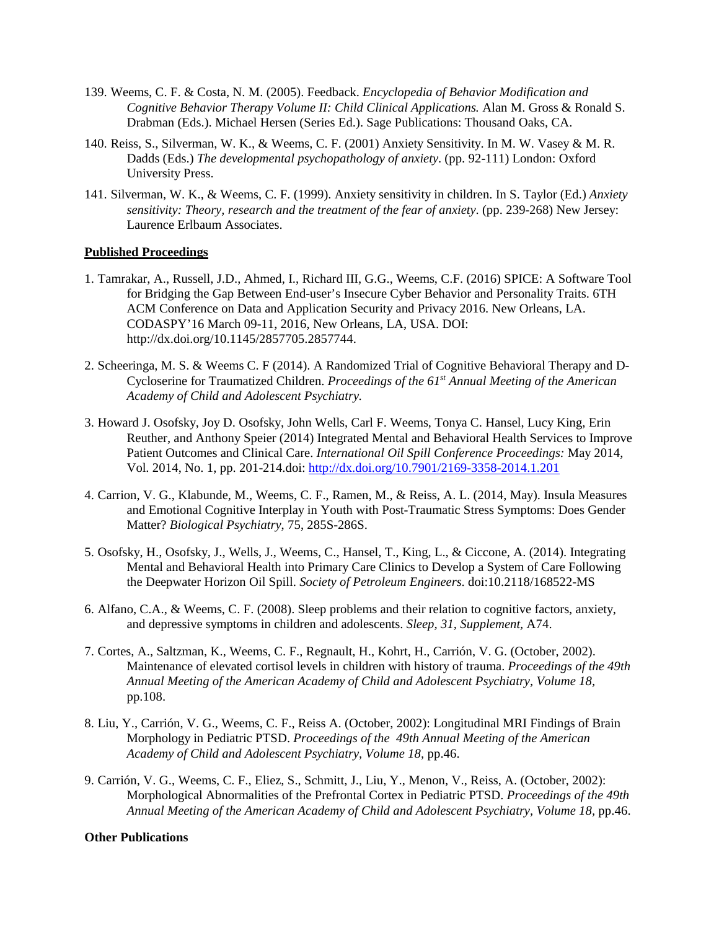- 139. Weems, C. F. & Costa, N. M. (2005). Feedback. *Encyclopedia of Behavior Modification and Cognitive Behavior Therapy Volume II: Child Clinical Applications.* Alan M. Gross & Ronald S. Drabman (Eds.). Michael Hersen (Series Ed.). Sage Publications: Thousand Oaks, CA.
- 140. Reiss, S., Silverman, W. K., & Weems, C. F. (2001) Anxiety Sensitivity. In M. W. Vasey & M. R. Dadds (Eds.) *The developmental psychopathology of anxiety*. (pp. 92-111) London: Oxford University Press.
- 141. Silverman, W. K., & Weems, C. F. (1999). Anxiety sensitivity in children. In S. Taylor (Ed.) *Anxiety sensitivity: Theory, research and the treatment of the fear of anxiety*. (pp. 239-268) New Jersey: Laurence Erlbaum Associates.

#### **Published Proceedings**

- 1. Tamrakar, A., Russell, J.D., Ahmed, I., Richard III, G.G., Weems, C.F. (2016) SPICE: A Software Tool for Bridging the Gap Between End-user's Insecure Cyber Behavior and Personality Traits. 6TH ACM Conference on Data and Application Security and Privacy 2016. New Orleans, LA. CODASPY'16 March 09-11, 2016, New Orleans, LA, USA. DOI: http://dx.doi.org/10.1145/2857705.2857744.
- 2. Scheeringa, M. S. & Weems C. F (2014). A Randomized Trial of Cognitive Behavioral Therapy and D-Cycloserine for Traumatized Children. *Proceedings of the 61st Annual Meeting of the American Academy of Child and Adolescent Psychiatry.*
- 3. Howard J. Osofsky, Joy D. Osofsky, John Wells, Carl F. Weems, Tonya C. Hansel, Lucy King, Erin Reuther, and Anthony Speier (2014) Integrated Mental and Behavioral Health Services to Improve Patient Outcomes and Clinical Care. *International Oil Spill Conference Proceedings:* May 2014, Vol. 2014, No. 1, pp. 201-214.doi:<http://dx.doi.org/10.7901/2169-3358-2014.1.201>
- 4. Carrion, V. G., Klabunde, M., Weems, C. F., Ramen, M., & Reiss, A. L. (2014, May). Insula Measures and Emotional Cognitive Interplay in Youth with Post-Traumatic Stress Symptoms: Does Gender Matter? *Biological Psychiatry*, 75, 285S-286S.
- 5. Osofsky, H., Osofsky, J., Wells, J., Weems, C., Hansel, T., King, L., & Ciccone, A. (2014). Integrating Mental and Behavioral Health into Primary Care Clinics to Develop a System of Care Following the Deepwater Horizon Oil Spill. *Society of Petroleum Engineers*. doi:10.2118/168522-MS
- 6. Alfano, C.A., & Weems, C. F. (2008). Sleep problems and their relation to cognitive factors, anxiety, and depressive symptoms in children and adolescents. *Sleep, 31, Supplement,* A74.
- 7. Cortes, A., Saltzman, K., Weems, C. F., Regnault, H., Kohrt, H., Carrión, V. G. (October, 2002). Maintenance of elevated cortisol levels in children with history of trauma. *Proceedings of the 49th Annual Meeting of the American Academy of Child and Adolescent Psychiatry, Volume 18,*  pp.108.
- 8. Liu, Y., Carrión, V. G., Weems, C. F., Reiss A. (October, 2002): Longitudinal MRI Findings of Brain Morphology in Pediatric PTSD. *Proceedings of the 49th Annual Meeting of the American Academy of Child and Adolescent Psychiatry, Volume 18,* pp.46.
- 9. Carrión, V. G., Weems, C. F., Eliez, S., Schmitt, J., Liu, Y., Menon, V., Reiss, A. (October, 2002): Morphological Abnormalities of the Prefrontal Cortex in Pediatric PTSD. *Proceedings of the 49th Annual Meeting of the American Academy of Child and Adolescent Psychiatry, Volume 18,* pp.46.

#### **Other Publications**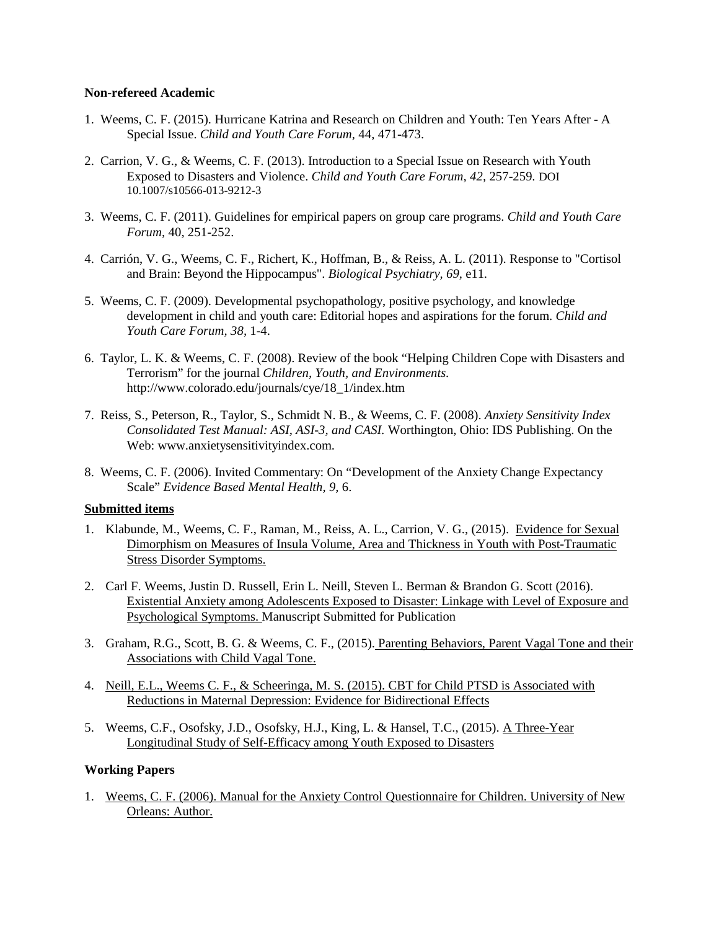#### **Non-refereed Academic**

- 1. Weems, C. F. (2015). Hurricane Katrina and Research on Children and Youth: Ten Years After A Special Issue. *Child and Youth Care Forum,* 44, 471-473.
- 2. Carrion, V. G., & Weems, C. F. (2013). Introduction to a Special Issue on Research with Youth Exposed to Disasters and Violence. *Child and Youth Care Forum, 42,* 257-259*.* DOI 10.1007/s10566-013-9212-3
- 3. Weems, C. F. (2011). Guidelines for empirical papers on group care programs. *Child and Youth Care Forum,* 40, 251-252.
- 4. Carrión, V. G., Weems, C. F., Richert, K., Hoffman, B., & Reiss, A. L. (2011). Response to "Cortisol and Brain: Beyond the Hippocampus". *Biological Psychiatry, 69,* e11*.*
- 5. Weems, C. F. (2009). Developmental psychopathology, positive psychology, and knowledge development in child and youth care: Editorial hopes and aspirations for the forum. *Child and Youth Care Forum, 38,* 1-4.
- 6. Taylor, L. K. & Weems, C. F. (2008). Review of the book "Helping Children Cope with Disasters and Terrorism" for the journal *Children, Youth, and Environments*. http://www.colorado.edu/journals/cye/18\_1/index.htm
- 7. Reiss, S., Peterson, R., Taylor, S., Schmidt N. B., & Weems, C. F. (2008). *Anxiety Sensitivity Index Consolidated Test Manual: ASI, ASI-3, and CASI.* Worthington, Ohio: IDS Publishing. On the Web: www.anxietysensitivityindex.com.
- 8. Weems, C. F. (2006). Invited Commentary: On "Development of the Anxiety Change Expectancy Scale" *Evidence Based Mental Health, 9,* 6.

### **Submitted items**

- 1. Klabunde, M., Weems, C. F., Raman, M., Reiss, A. L., Carrion, V. G., (2015). Evidence for Sexual Dimorphism on Measures of Insula Volume, Area and Thickness in Youth with Post-Traumatic Stress Disorder Symptoms.
- 2. Carl F. Weems, Justin D. Russell, Erin L. Neill, Steven L. Berman & Brandon G. Scott (2016). Existential Anxiety among Adolescents Exposed to Disaster: Linkage with Level of Exposure and Psychological Symptoms. Manuscript Submitted for Publication
- 3. Graham, R.G., Scott, B. G. & Weems, C. F., (2015). Parenting Behaviors, Parent Vagal Tone and their Associations with Child Vagal Tone.
- 4. Neill, E.L., Weems C. F., & Scheeringa, M. S. (2015). CBT for Child PTSD is Associated with Reductions in Maternal Depression: Evidence for Bidirectional Effects
- 5. Weems, C.F., Osofsky, J.D., Osofsky, H.J., King, L. & Hansel, T.C., (2015). A Three-Year Longitudinal Study of Self-Efficacy among Youth Exposed to Disasters

### **Working Papers**

1. Weems, C. F. (2006). Manual for the Anxiety Control Questionnaire for Children. University of New Orleans: Author.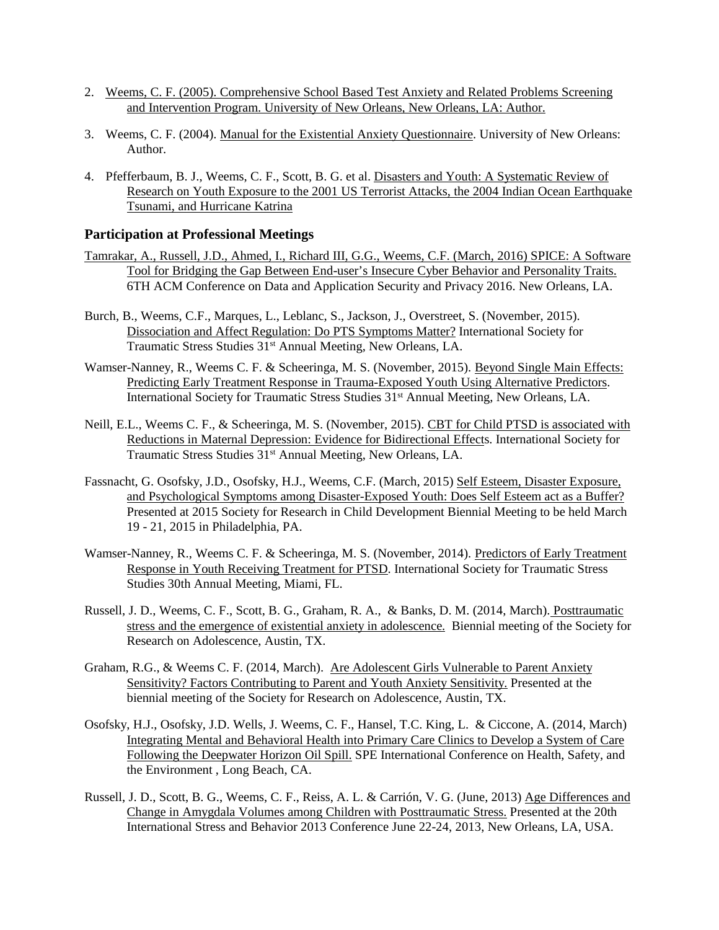- 2. Weems, C. F. (2005). Comprehensive School Based Test Anxiety and Related Problems Screening and Intervention Program. University of New Orleans, New Orleans, LA: Author.
- 3. Weems, C. F. (2004). Manual for the Existential Anxiety Questionnaire. University of New Orleans: Author.
- 4. Pfefferbaum, B. J., Weems, C. F., Scott, B. G. et al. Disasters and Youth: A Systematic Review of Research on Youth Exposure to the 2001 US Terrorist Attacks, the 2004 Indian Ocean Earthquake Tsunami, and Hurricane Katrina

### **Participation at Professional Meetings**

- Tamrakar, A., Russell, J.D., Ahmed, I., Richard III, G.G., Weems, C.F. (March, 2016) SPICE: A Software Tool for Bridging the Gap Between End-user's Insecure Cyber Behavior and Personality Traits. 6TH ACM Conference on Data and Application Security and Privacy 2016. New Orleans, LA.
- Burch, B., Weems, C.F., Marques, L., Leblanc, S., Jackson, J., Overstreet, S. (November, 2015). Dissociation and Affect Regulation: Do PTS Symptoms Matter? International Society for Traumatic Stress Studies 31<sup>st</sup> Annual Meeting, New Orleans, LA.
- Wamser-Nanney, R., Weems C. F. & Scheeringa, M. S. (November, 2015). Beyond Single Main Effects: Predicting Early Treatment Response in Trauma-Exposed Youth Using Alternative Predictors. International Society for Traumatic Stress Studies 31<sup>st</sup> Annual Meeting, New Orleans, LA.
- Neill, E.L., Weems C. F., & Scheeringa, M. S. (November, 2015). CBT for Child PTSD is associated with Reductions in Maternal Depression: Evidence for Bidirectional Effects. International Society for Traumatic Stress Studies 31st Annual Meeting, New Orleans, LA.
- Fassnacht, G. Osofsky, J.D., Osofsky, H.J., Weems, C.F. (March, 2015) Self Esteem, Disaster Exposure, and Psychological Symptoms among Disaster-Exposed Youth: Does Self Esteem act as a Buffer? Presented at 2015 Society for Research in Child Development Biennial Meeting to be held March 19 - 21, 2015 in Philadelphia, PA.
- Wamser-Nanney, R., Weems C. F. & Scheeringa, M. S. (November, 2014). Predictors of Early Treatment Response in Youth Receiving Treatment for PTSD. International Society for Traumatic Stress Studies 30th Annual Meeting, Miami, FL.
- Russell, J. D., Weems, C. F., Scott, B. G., Graham, R. A., & Banks, D. M. (2014, March). Posttraumatic stress and the emergence of existential anxiety in adolescence. Biennial meeting of the Society for Research on Adolescence, Austin, TX.
- Graham, R.G., & Weems C. F. (2014, March). Are Adolescent Girls Vulnerable to Parent Anxiety Sensitivity? Factors Contributing to Parent and Youth Anxiety Sensitivity. Presented at the biennial meeting of the Society for Research on Adolescence, Austin, TX.
- Osofsky, H.J., Osofsky, J.D. Wells, J. Weems, C. F., Hansel, T.C. King, L. & Ciccone, A. (2014, March) Integrating Mental and Behavioral Health into Primary Care Clinics to Develop a System of Care Following the Deepwater Horizon Oil Spill. SPE International Conference on Health, Safety, and the Environment , Long Beach, CA.
- Russell, J. D., Scott, B. G., Weems, C. F., Reiss, A. L. & Carrión, V. G. (June, 2013) Age Differences and Change in Amygdala Volumes among Children with Posttraumatic Stress. Presented at the 20th International Stress and Behavior 2013 Conference June 22-24, 2013, New Orleans, LA, USA.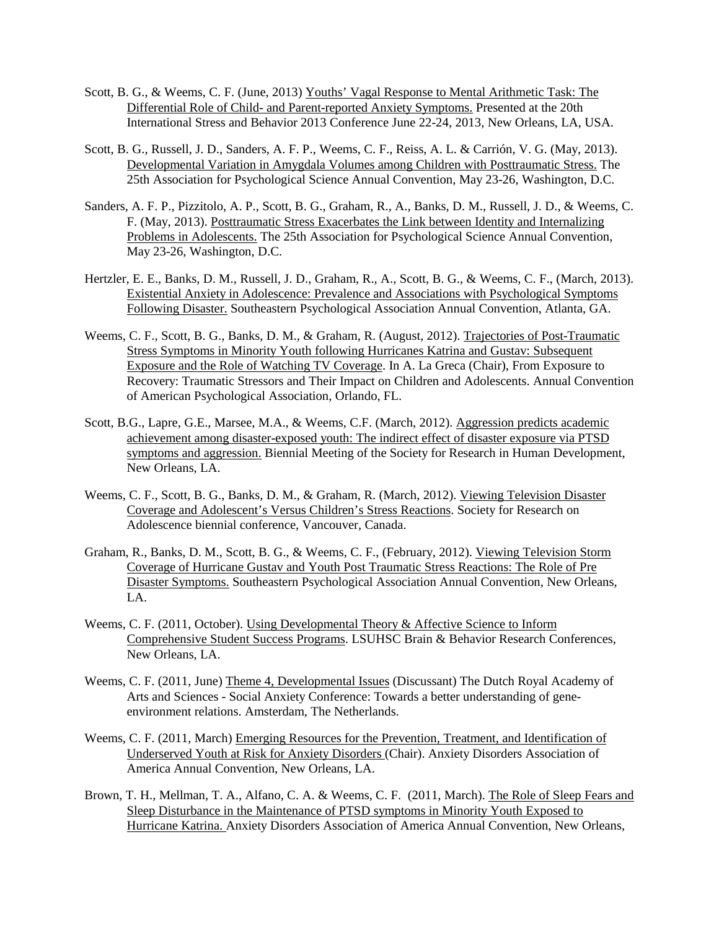- Scott, B. G., & Weems, C. F. (June, 2013) Youths' Vagal Response to Mental Arithmetic Task: The Differential Role of Child- and Parent-reported Anxiety Symptoms. Presented at the 20th International Stress and Behavior 2013 Conference June 22-24, 2013, New Orleans, LA, USA.
- Scott, B. G., Russell, J. D., Sanders, A. F. P., Weems, C. F., Reiss, A. L. & Carrión, V. G. (May, 2013). Developmental Variation in Amygdala Volumes among Children with Posttraumatic Stress. The 25th Association for Psychological Science Annual Convention, May 23-26, Washington, D.C.
- Sanders, A. F. P., Pizzitolo, A. P., Scott, B. G., Graham, R., A., Banks, D. M., Russell, J. D., & Weems, C. F. (May, 2013). Posttraumatic Stress Exacerbates the Link between Identity and Internalizing Problems in Adolescents. The 25th Association for Psychological Science Annual Convention, May 23-26, Washington, D.C.
- Hertzler, E. E., Banks, D. M., Russell, J. D., Graham, R., A., Scott, B. G., & Weems, C. F., (March, 2013). Existential Anxiety in Adolescence: Prevalence and Associations with Psychological Symptoms Following Disaster. Southeastern Psychological Association Annual Convention, Atlanta, GA.
- Weems, C. F., Scott, B. G., Banks, D. M., & Graham, R. (August, 2012). Trajectories of Post-Traumatic Stress Symptoms in Minority Youth following Hurricanes Katrina and Gustav: Subsequent Exposure and the Role of Watching TV Coverage. In A. La Greca (Chair), From Exposure to Recovery: Traumatic Stressors and Their Impact on Children and Adolescents. Annual Convention of American Psychological Association, Orlando, FL.
- Scott, B.G., Lapre, G.E., Marsee, M.A., & Weems, C.F. (March, 2012). Aggression predicts academic achievement among disaster-exposed youth: The indirect effect of disaster exposure via PTSD symptoms and aggression. Biennial Meeting of the Society for Research in Human Development, New Orleans, LA.
- Weems, C. F., Scott, B. G., Banks, D. M., & Graham, R. (March, 2012). Viewing Television Disaster Coverage and Adolescent's Versus Children's Stress Reactions. Society for Research on Adolescence biennial conference, Vancouver, Canada.
- Graham, R., Banks, D. M., Scott, B. G., & Weems, C. F., (February, 2012). Viewing Television Storm Coverage of Hurricane Gustav and Youth Post Traumatic Stress Reactions: The Role of Pre Disaster Symptoms. Southeastern Psychological Association Annual Convention, New Orleans, LA.
- Weems, C. F. (2011, October). Using Developmental Theory & Affective Science to Inform Comprehensive Student Success Programs. LSUHSC Brain & Behavior Research Conferences, New Orleans, LA.
- Weems, C. F. (2011, June) Theme 4, Developmental Issues (Discussant) The Dutch Royal Academy of Arts and Sciences - Social Anxiety Conference: Towards a better understanding of geneenvironment relations. Amsterdam, The Netherlands.
- Weems, C. F. (2011, March) Emerging Resources for the Prevention, Treatment, and Identification of Underserved Youth at Risk for Anxiety Disorders (Chair). Anxiety Disorders Association of America Annual Convention, New Orleans, LA.
- Brown, T. H., Mellman, T. A., Alfano, C. A. & Weems, C. F. (2011, March). The Role of Sleep Fears and Sleep Disturbance in the Maintenance of PTSD symptoms in Minority Youth Exposed to Hurricane Katrina. Anxiety Disorders Association of America Annual Convention, New Orleans,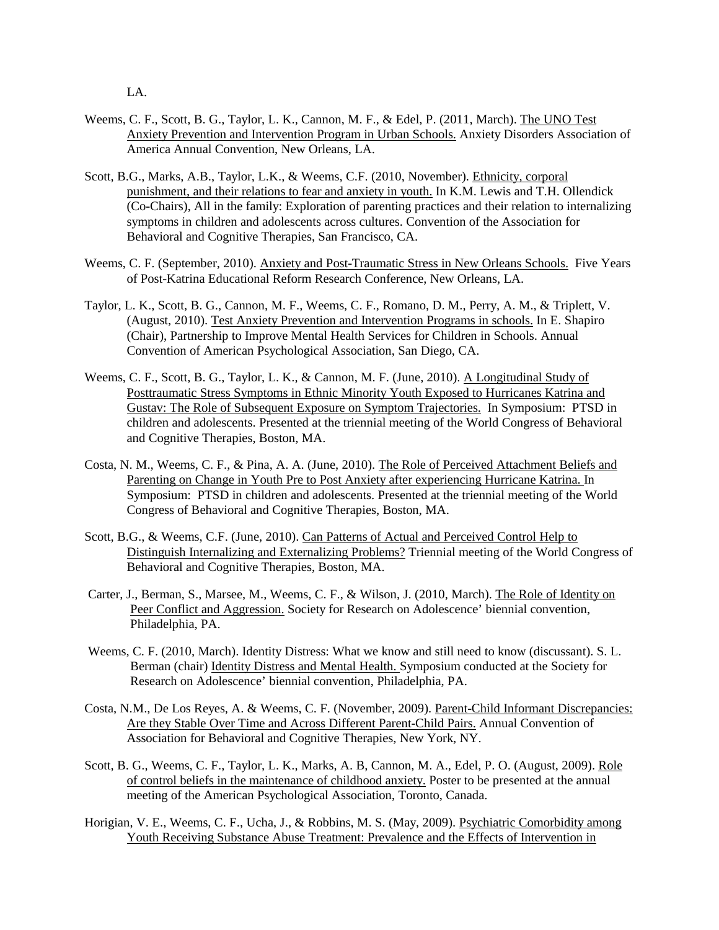LA.

- Weems, C. F., Scott, B. G., Taylor, L. K., Cannon, M. F., & Edel, P. (2011, March). The UNO Test Anxiety Prevention and Intervention Program in Urban Schools. Anxiety Disorders Association of America Annual Convention, New Orleans, LA.
- Scott, B.G., Marks, A.B., Taylor, L.K., & Weems, C.F. (2010, November). Ethnicity, corporal punishment, and their relations to fear and anxiety in youth. In K.M. Lewis and T.H. Ollendick (Co-Chairs), All in the family: Exploration of parenting practices and their relation to internalizing symptoms in children and adolescents across cultures. Convention of the Association for Behavioral and Cognitive Therapies, San Francisco, CA.
- Weems, C. F. (September, 2010). Anxiety and Post-Traumatic Stress in New Orleans Schools. Five Years of Post-Katrina Educational Reform Research Conference, New Orleans, LA.
- Taylor, L. K., Scott, B. G., Cannon, M. F., Weems, C. F., Romano, D. M., Perry, A. M., & Triplett, V. (August, 2010). Test Anxiety Prevention and Intervention Programs in schools. In E. Shapiro (Chair), Partnership to Improve Mental Health Services for Children in Schools. Annual Convention of American Psychological Association, San Diego, CA.
- Weems, C. F., Scott, B. G., Taylor, L. K., & Cannon, M. F. (June, 2010). A Longitudinal Study of Posttraumatic Stress Symptoms in Ethnic Minority Youth Exposed to Hurricanes Katrina and Gustav: The Role of Subsequent Exposure on Symptom Trajectories. In Symposium: PTSD in children and adolescents. Presented at the triennial meeting of the World Congress of Behavioral and Cognitive Therapies, Boston, MA.
- Costa, N. M., Weems, C. F., & Pina, A. A. (June, 2010). The Role of Perceived Attachment Beliefs and Parenting on Change in Youth Pre to Post Anxiety after experiencing Hurricane Katrina. In Symposium: PTSD in children and adolescents. Presented at the triennial meeting of the World Congress of Behavioral and Cognitive Therapies, Boston, MA.
- Scott, B.G., & Weems, C.F. (June, 2010). Can Patterns of Actual and Perceived Control Help to Distinguish Internalizing and Externalizing Problems? Triennial meeting of the World Congress of Behavioral and Cognitive Therapies, Boston, MA.
- Carter, J., Berman, S., Marsee, M., Weems, C. F., & Wilson, J. (2010, March). The Role of Identity on Peer Conflict and Aggression. Society for Research on Adolescence' biennial convention, Philadelphia, PA.
- Weems, C. F. (2010, March). Identity Distress: What we know and still need to know (discussant). S. L. Berman (chair) Identity Distress and Mental Health. Symposium conducted at the Society for Research on Adolescence' biennial convention, Philadelphia, PA.
- Costa, N.M., De Los Reyes, A. & Weems, C. F. (November, 2009). Parent-Child Informant Discrepancies: Are they Stable Over Time and Across Different Parent-Child Pairs. Annual Convention of Association for Behavioral and Cognitive Therapies, New York, NY.
- Scott, B. G., Weems, C. F., Taylor, L. K., Marks, A. B, Cannon, M. A., Edel, P. O. (August, 2009). Role of control beliefs in the maintenance of childhood anxiety. Poster to be presented at the annual meeting of the American Psychological Association, Toronto, Canada.
- Horigian, V. E., Weems, C. F., Ucha, J., & Robbins, M. S. (May, 2009). Psychiatric Comorbidity among Youth Receiving Substance Abuse Treatment: Prevalence and the Effects of Intervention in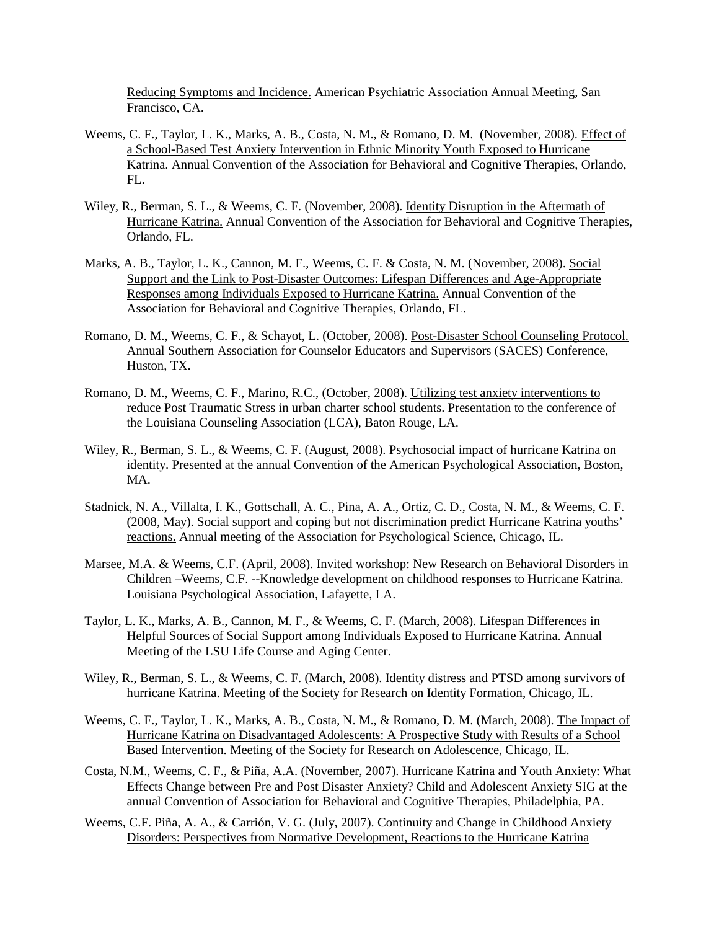Reducing Symptoms and Incidence. American Psychiatric Association Annual Meeting, San Francisco, CA.

- Weems, C. F., Taylor, L. K., Marks, A. B., Costa, N. M., & Romano, D. M. (November, 2008). Effect of a School-Based Test Anxiety Intervention in Ethnic Minority Youth Exposed to Hurricane Katrina. Annual Convention of the Association for Behavioral and Cognitive Therapies, Orlando, FL.
- Wiley, R., Berman, S. L., & Weems, C. F. (November, 2008). Identity Disruption in the Aftermath of Hurricane Katrina. Annual Convention of the Association for Behavioral and Cognitive Therapies, Orlando, FL.
- Marks, A. B., Taylor, L. K., Cannon, M. F., Weems, C. F. & Costa, N. M. (November, 2008). Social Support and the Link to Post-Disaster Outcomes: Lifespan Differences and Age-Appropriate Responses among Individuals Exposed to Hurricane Katrina. Annual Convention of the Association for Behavioral and Cognitive Therapies, Orlando, FL.
- Romano, D. M., Weems, C. F., & Schayot, L. (October, 2008). Post-Disaster School Counseling Protocol. Annual Southern Association for Counselor Educators and Supervisors (SACES) Conference, Huston, TX.
- Romano, D. M., Weems, C. F., Marino, R.C., (October, 2008). Utilizing test anxiety interventions to reduce Post Traumatic Stress in urban charter school students. Presentation to the conference of the Louisiana Counseling Association (LCA), Baton Rouge, LA.
- Wiley, R., Berman, S. L., & Weems, C. F. (August, 2008). Psychosocial impact of hurricane Katrina on identity. Presented at the annual Convention of the American Psychological Association, Boston, MA.
- Stadnick, N. A., Villalta, I. K., Gottschall, A. C., Pina, A. A., Ortiz, C. D., Costa, N. M., & Weems, C. F. (2008, May). Social support and coping but not discrimination predict Hurricane Katrina youths' reactions. Annual meeting of the Association for Psychological Science, Chicago, IL.
- Marsee, M.A. & Weems, C.F. (April, 2008). Invited workshop: New Research on Behavioral Disorders in Children –Weems, C.F. --Knowledge development on childhood responses to Hurricane Katrina. Louisiana Psychological Association, Lafayette, LA.
- Taylor, L. K., Marks, A. B., Cannon, M. F., & Weems, C. F. (March, 2008). Lifespan Differences in Helpful Sources of Social Support among Individuals Exposed to Hurricane Katrina. Annual Meeting of the LSU Life Course and Aging Center.
- Wiley, R., Berman, S. L., & Weems, C. F. (March, 2008). Identity distress and PTSD among survivors of hurricane Katrina. Meeting of the Society for Research on Identity Formation, Chicago, IL.
- Weems, C. F., Taylor, L. K., Marks, A. B., Costa, N. M., & Romano, D. M. (March, 2008). The Impact of Hurricane Katrina on Disadvantaged Adolescents: A Prospective Study with Results of a School Based Intervention. Meeting of the Society for Research on Adolescence, Chicago, IL.
- Costa, N.M., Weems, C. F., & Piña, A.A. (November, 2007). Hurricane Katrina and Youth Anxiety: What Effects Change between Pre and Post Disaster Anxiety? Child and Adolescent Anxiety SIG at the annual Convention of Association for Behavioral and Cognitive Therapies, Philadelphia, PA.
- Weems, C.F. Piña, A. A., & Carrión, V. G. (July, 2007). Continuity and Change in Childhood Anxiety Disorders: Perspectives from Normative Development, Reactions to the Hurricane Katrina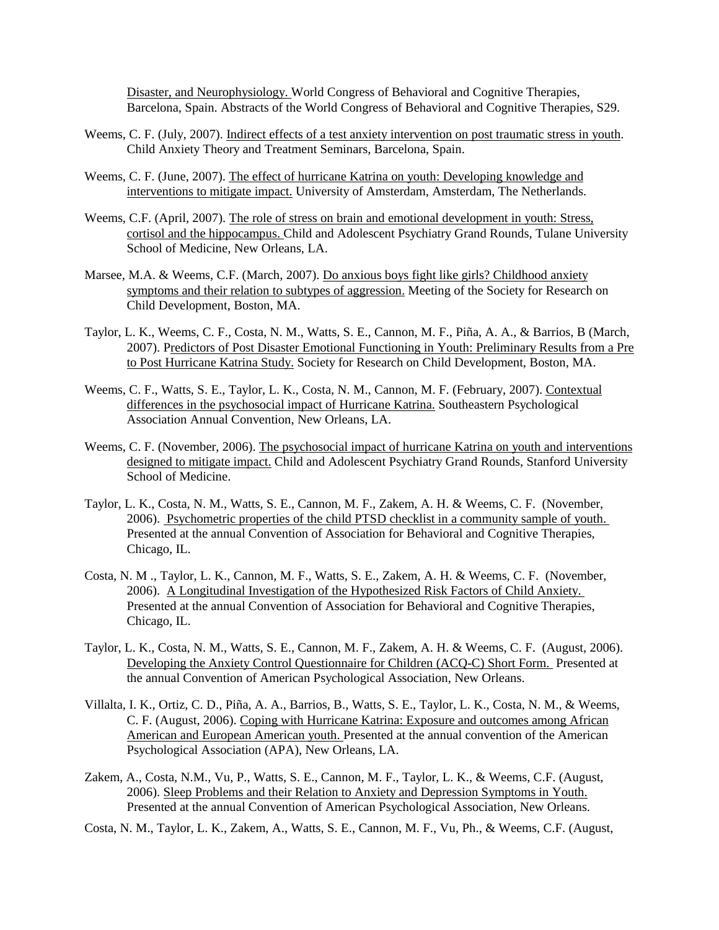Disaster, and Neurophysiology. World Congress of Behavioral and Cognitive Therapies, Barcelona, Spain. Abstracts of the World Congress of Behavioral and Cognitive Therapies, S29.

- Weems, C. F. (July, 2007). Indirect effects of a test anxiety intervention on post traumatic stress in youth. Child Anxiety Theory and Treatment Seminars, Barcelona, Spain.
- Weems, C. F. (June, 2007). The effect of hurricane Katrina on youth: Developing knowledge and interventions to mitigate impact. University of Amsterdam, Amsterdam, The Netherlands.
- Weems, C.F. (April, 2007). The role of stress on brain and emotional development in youth: Stress, cortisol and the hippocampus. Child and Adolescent Psychiatry Grand Rounds, Tulane University School of Medicine, New Orleans, LA.
- Marsee, M.A. & Weems, C.F. (March, 2007). Do anxious boys fight like girls? Childhood anxiety symptoms and their relation to subtypes of aggression. Meeting of the Society for Research on Child Development, Boston, MA.
- Taylor, L. K., Weems, C. F., Costa, N. M., Watts, S. E., Cannon, M. F., Piña, A. A., & Barrios, B (March, 2007). Predictors of Post Disaster Emotional Functioning in Youth: Preliminary Results from a Pre to Post Hurricane Katrina Study. Society for Research on Child Development, Boston, MA.
- Weems, C. F., Watts, S. E., Taylor, L. K., Costa, N. M., Cannon, M. F. (February, 2007). Contextual differences in the psychosocial impact of Hurricane Katrina. Southeastern Psychological Association Annual Convention, New Orleans, LA.
- Weems, C. F. (November, 2006). The psychosocial impact of hurricane Katrina on youth and interventions designed to mitigate impact. Child and Adolescent Psychiatry Grand Rounds, Stanford University School of Medicine.
- Taylor, L. K., Costa, N. M., Watts, S. E., Cannon, M. F., Zakem, A. H. & Weems, C. F. (November, 2006). Psychometric properties of the child PTSD checklist in a community sample of youth. Presented at the annual Convention of Association for Behavioral and Cognitive Therapies, Chicago, IL.
- Costa, N. M ., Taylor, L. K., Cannon, M. F., Watts, S. E., Zakem, A. H. & Weems, C. F. (November, 2006). A Longitudinal Investigation of the Hypothesized Risk Factors of Child Anxiety. Presented at the annual Convention of Association for Behavioral and Cognitive Therapies, Chicago, IL.
- Taylor, L. K., Costa, N. M., Watts, S. E., Cannon, M. F., Zakem, A. H. & Weems, C. F. (August, 2006). Developing the Anxiety Control Questionnaire for Children (ACQ-C) Short Form. Presented at the annual Convention of American Psychological Association, New Orleans.
- Villalta, I. K., Ortiz, C. D., Piña, A. A., Barrios, B., Watts, S. E., Taylor, L. K., Costa, N. M., & Weems, C. F. (August, 2006). Coping with Hurricane Katrina: Exposure and outcomes among African American and European American youth. Presented at the annual convention of the American Psychological Association (APA), New Orleans, LA.
- Zakem, A., Costa, N.M., Vu, P., Watts, S. E., Cannon, M. F., Taylor, L. K., & Weems, C.F. (August, 2006). Sleep Problems and their Relation to Anxiety and Depression Symptoms in Youth. Presented at the annual Convention of American Psychological Association, New Orleans.
- Costa, N. M., Taylor, L. K., Zakem, A., Watts, S. E., Cannon, M. F., Vu, Ph., & Weems, C.F. (August,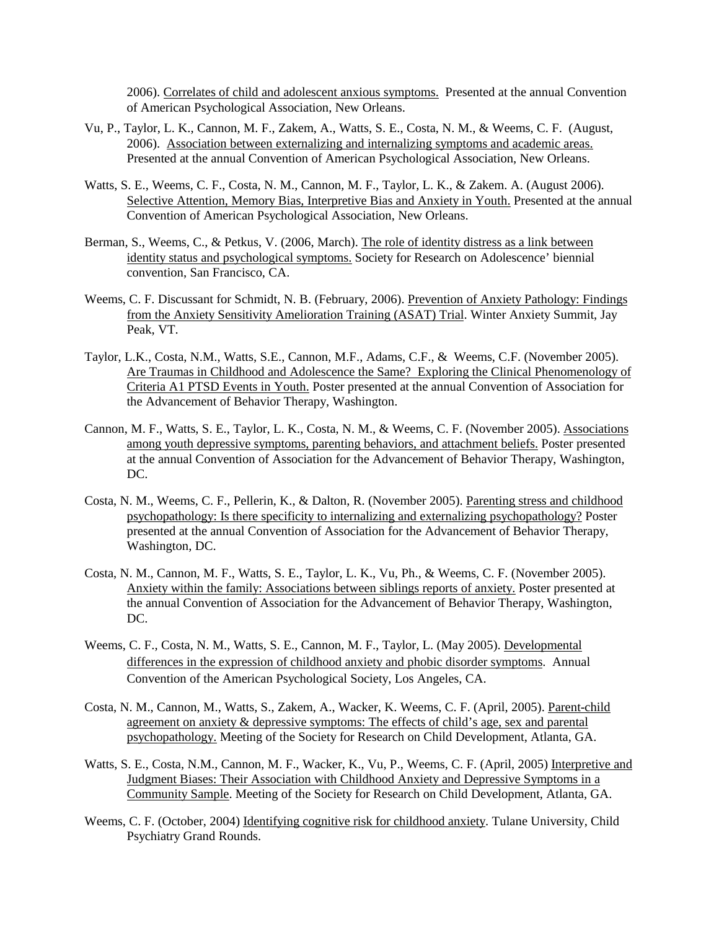2006). Correlates of child and adolescent anxious symptoms. Presented at the annual Convention of American Psychological Association, New Orleans.

- Vu, P., Taylor, L. K., Cannon, M. F., Zakem, A., Watts, S. E., Costa, N. M., & Weems, C. F. (August, 2006). Association between externalizing and internalizing symptoms and academic areas. Presented at the annual Convention of American Psychological Association, New Orleans.
- Watts, S. E., Weems, C. F., Costa, N. M., Cannon, M. F., Taylor, L. K., & Zakem. A. (August 2006). Selective Attention, Memory Bias, Interpretive Bias and Anxiety in Youth. Presented at the annual Convention of American Psychological Association, New Orleans.
- Berman, S., Weems, C., & Petkus, V. (2006, March). The role of identity distress as a link between identity status and psychological symptoms. Society for Research on Adolescence' biennial convention, San Francisco, CA.
- Weems, C. F. Discussant for Schmidt, N. B. (February, 2006). Prevention of Anxiety Pathology: Findings from the Anxiety Sensitivity Amelioration Training (ASAT) Trial. Winter Anxiety Summit, Jay Peak, VT.
- Taylor, L.K., Costa, N.M., Watts, S.E., Cannon, M.F., Adams, C.F., & Weems, C.F. (November 2005). Are Traumas in Childhood and Adolescence the Same? Exploring the Clinical Phenomenology of Criteria A1 PTSD Events in Youth. Poster presented at the annual Convention of Association for the Advancement of Behavior Therapy, Washington.
- Cannon, M. F., Watts, S. E., Taylor, L. K., Costa, N. M., & Weems, C. F. (November 2005). Associations among youth depressive symptoms, parenting behaviors, and attachment beliefs. Poster presented at the annual Convention of Association for the Advancement of Behavior Therapy, Washington, DC.
- Costa, N. M., Weems, C. F., Pellerin, K., & Dalton, R. (November 2005). Parenting stress and childhood psychopathology: Is there specificity to internalizing and externalizing psychopathology? Poster presented at the annual Convention of Association for the Advancement of Behavior Therapy, Washington, DC.
- Costa, N. M., Cannon, M. F., Watts, S. E., Taylor, L. K., Vu, Ph., & Weems, C. F. (November 2005). Anxiety within the family: Associations between siblings reports of anxiety. Poster presented at the annual Convention of Association for the Advancement of Behavior Therapy, Washington, DC.
- Weems, C. F., Costa, N. M., Watts, S. E., Cannon, M. F., Taylor, L. (May 2005). Developmental differences in the expression of childhood anxiety and phobic disorder symptoms. Annual Convention of the American Psychological Society, Los Angeles, CA.
- Costa, N. M., Cannon, M., Watts, S., Zakem, A., Wacker, K. Weems, C. F. (April, 2005). Parent-child agreement on anxiety & depressive symptoms: The effects of child's age, sex and parental psychopathology. Meeting of the Society for Research on Child Development, Atlanta, GA.
- Watts, S. E., Costa, N.M., Cannon, M. F., Wacker, K., Vu, P., Weems, C. F. (April, 2005) Interpretive and Judgment Biases: Their Association with Childhood Anxiety and Depressive Symptoms in a Community Sample. Meeting of the Society for Research on Child Development, Atlanta, GA.
- Weems, C. F. (October, 2004) Identifying cognitive risk for childhood anxiety. Tulane University, Child Psychiatry Grand Rounds.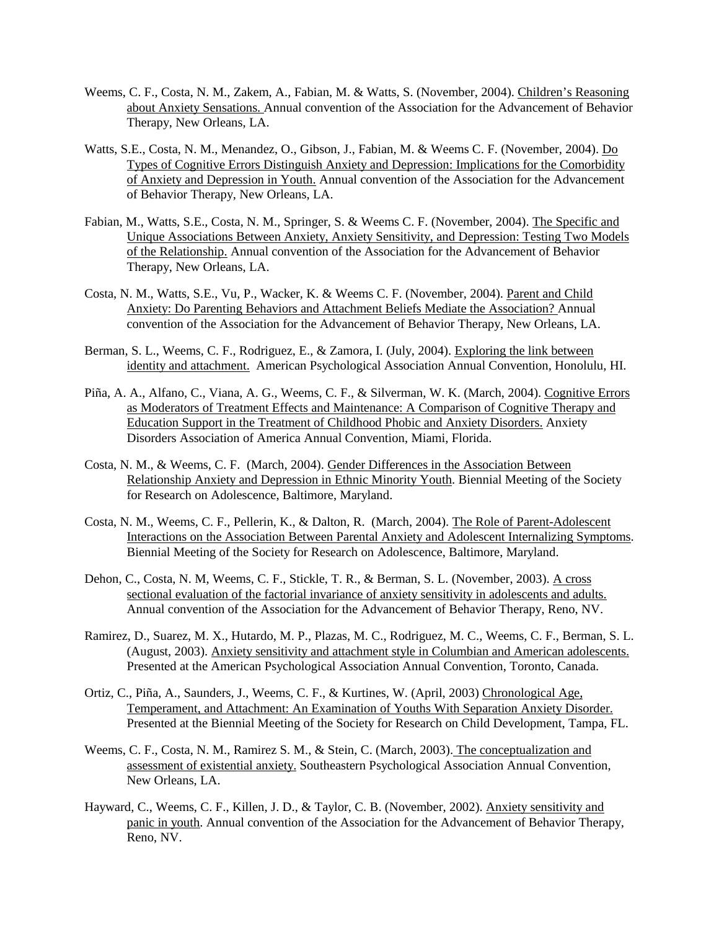- Weems, C. F., Costa, N. M., Zakem, A., Fabian, M. & Watts, S. (November, 2004). Children's Reasoning about Anxiety Sensations. Annual convention of the Association for the Advancement of Behavior Therapy, New Orleans, LA.
- Watts, S.E., Costa, N. M., Menandez, O., Gibson, J., Fabian, M. & Weems C. F. (November, 2004). Do Types of Cognitive Errors Distinguish Anxiety and Depression: Implications for the Comorbidity of Anxiety and Depression in Youth. Annual convention of the Association for the Advancement of Behavior Therapy, New Orleans, LA.
- Fabian, M., Watts, S.E., Costa, N. M., Springer, S. & Weems C. F. (November, 2004). The Specific and Unique Associations Between Anxiety, Anxiety Sensitivity, and Depression: Testing Two Models of the Relationship. Annual convention of the Association for the Advancement of Behavior Therapy, New Orleans, LA.
- Costa, N. M., Watts, S.E., Vu, P., Wacker, K. & Weems C. F. (November, 2004). Parent and Child Anxiety: Do Parenting Behaviors and Attachment Beliefs Mediate the Association? Annual convention of the Association for the Advancement of Behavior Therapy, New Orleans, LA.
- Berman, S. L., Weems, C. F., Rodriguez, E., & Zamora, I. (July, 2004). Exploring the link between identity and attachment. American Psychological Association Annual Convention, Honolulu, HI.
- Piña, A. A., Alfano, C., Viana, A. G., Weems, C. F., & Silverman, W. K. (March, 2004). Cognitive Errors as Moderators of Treatment Effects and Maintenance: A Comparison of Cognitive Therapy and Education Support in the Treatment of Childhood Phobic and Anxiety Disorders. Anxiety Disorders Association of America Annual Convention, Miami, Florida.
- Costa, N. M., & Weems, C. F. (March, 2004). Gender Differences in the Association Between Relationship Anxiety and Depression in Ethnic Minority Youth. Biennial Meeting of the Society for Research on Adolescence, Baltimore, Maryland.
- Costa, N. M., Weems, C. F., Pellerin, K., & Dalton, R. (March, 2004). The Role of Parent-Adolescent Interactions on the Association Between Parental Anxiety and Adolescent Internalizing Symptoms. Biennial Meeting of the Society for Research on Adolescence, Baltimore, Maryland.
- Dehon, C., Costa, N. M, Weems, C. F., Stickle, T. R., & Berman, S. L. (November, 2003). A cross sectional evaluation of the factorial invariance of anxiety sensitivity in adolescents and adults. Annual convention of the Association for the Advancement of Behavior Therapy, Reno, NV.
- Ramirez, D., Suarez, M. X., Hutardo, M. P., Plazas, M. C., Rodriguez, M. C., Weems, C. F., Berman, S. L. (August, 2003). Anxiety sensitivity and attachment style in Columbian and American adolescents. Presented at the American Psychological Association Annual Convention, Toronto, Canada.
- Ortiz, C., Piña, A., Saunders, J., Weems, C. F., & Kurtines, W. (April, 2003) Chronological Age, Temperament, and Attachment: An Examination of Youths With Separation Anxiety Disorder. Presented at the Biennial Meeting of the Society for Research on Child Development, Tampa, FL.
- Weems, C. F., Costa, N. M., Ramirez S. M., & Stein, C. (March, 2003). The conceptualization and assessment of existential anxiety. Southeastern Psychological Association Annual Convention, New Orleans, LA.
- Hayward, C., Weems, C. F., Killen, J. D., & Taylor, C. B. (November, 2002). Anxiety sensitivity and panic in youth. Annual convention of the Association for the Advancement of Behavior Therapy, Reno, NV.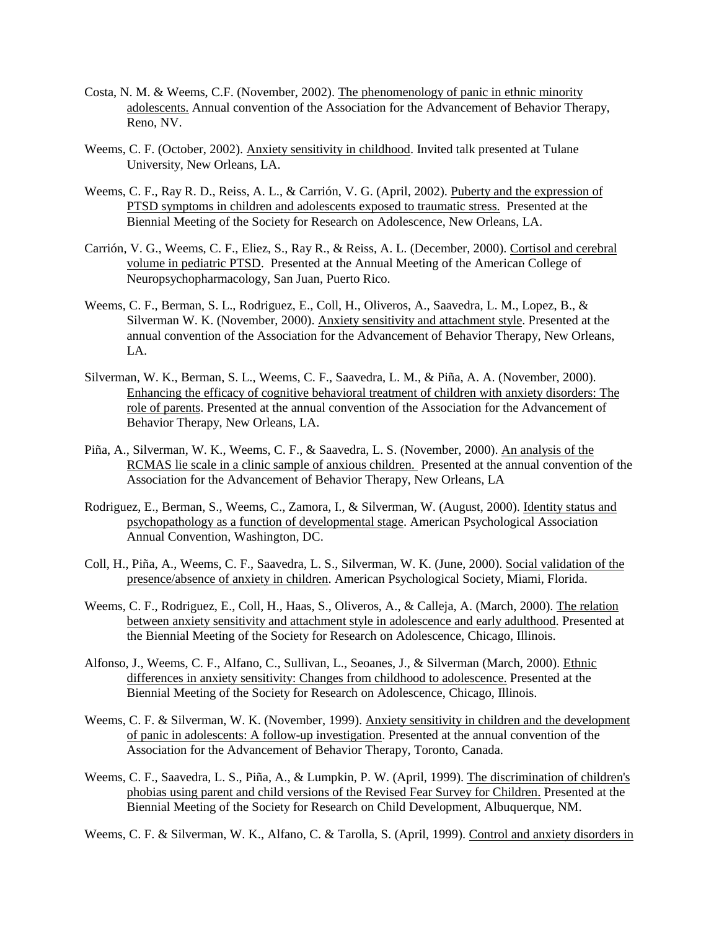- Costa, N. M. & Weems, C.F. (November, 2002). The phenomenology of panic in ethnic minority adolescents. Annual convention of the Association for the Advancement of Behavior Therapy, Reno, NV.
- Weems, C. F. (October, 2002). Anxiety sensitivity in childhood. Invited talk presented at Tulane University, New Orleans, LA.
- Weems, C. F., Ray R. D., Reiss, A. L., & Carrión, V. G. (April, 2002). Puberty and the expression of PTSD symptoms in children and adolescents exposed to traumatic stress. Presented at the Biennial Meeting of the Society for Research on Adolescence, New Orleans, LA.
- Carrión, V. G., Weems, C. F., Eliez, S., Ray R., & Reiss, A. L. (December, 2000). Cortisol and cerebral volume in pediatric PTSD. Presented at the Annual Meeting of the American College of Neuropsychopharmacology, San Juan, Puerto Rico.
- Weems, C. F., Berman, S. L., Rodriguez, E., Coll, H., Oliveros, A., Saavedra, L. M., Lopez, B., & Silverman W. K. (November, 2000). Anxiety sensitivity and attachment style. Presented at the annual convention of the Association for the Advancement of Behavior Therapy, New Orleans, LA.
- Silverman, W. K., Berman, S. L., Weems, C. F., Saavedra, L. M., & Piña, A. A. (November, 2000). Enhancing the efficacy of cognitive behavioral treatment of children with anxiety disorders: The role of parents. Presented at the annual convention of the Association for the Advancement of Behavior Therapy, New Orleans, LA.
- Piña, A., Silverman, W. K., Weems, C. F., & Saavedra, L. S. (November, 2000). An analysis of the RCMAS lie scale in a clinic sample of anxious children. Presented at the annual convention of the Association for the Advancement of Behavior Therapy, New Orleans, LA
- Rodriguez, E., Berman, S., Weems, C., Zamora, I., & Silverman, W. (August, 2000). Identity status and psychopathology as a function of developmental stage. American Psychological Association Annual Convention, Washington, DC.
- Coll, H., Piña, A., Weems, C. F., Saavedra, L. S., Silverman, W. K. (June, 2000). Social validation of the presence/absence of anxiety in children. American Psychological Society, Miami, Florida.
- Weems, C. F., Rodriguez, E., Coll, H., Haas, S., Oliveros, A., & Calleja, A. (March, 2000). The relation between anxiety sensitivity and attachment style in adolescence and early adulthood. Presented at the Biennial Meeting of the Society for Research on Adolescence, Chicago, Illinois.
- Alfonso, J., Weems, C. F., Alfano, C., Sullivan, L., Seoanes, J., & Silverman (March, 2000). Ethnic differences in anxiety sensitivity: Changes from childhood to adolescence. Presented at the Biennial Meeting of the Society for Research on Adolescence, Chicago, Illinois.
- Weems, C. F. & Silverman, W. K. (November, 1999). Anxiety sensitivity in children and the development of panic in adolescents: A follow-up investigation. Presented at the annual convention of the Association for the Advancement of Behavior Therapy, Toronto, Canada.
- Weems, C. F., Saavedra, L. S., Piña, A., & Lumpkin, P. W. (April, 1999). The discrimination of children's phobias using parent and child versions of the Revised Fear Survey for Children. Presented at the Biennial Meeting of the Society for Research on Child Development, Albuquerque, NM.

Weems, C. F. & Silverman, W. K., Alfano, C. & Tarolla, S. (April, 1999). Control and anxiety disorders in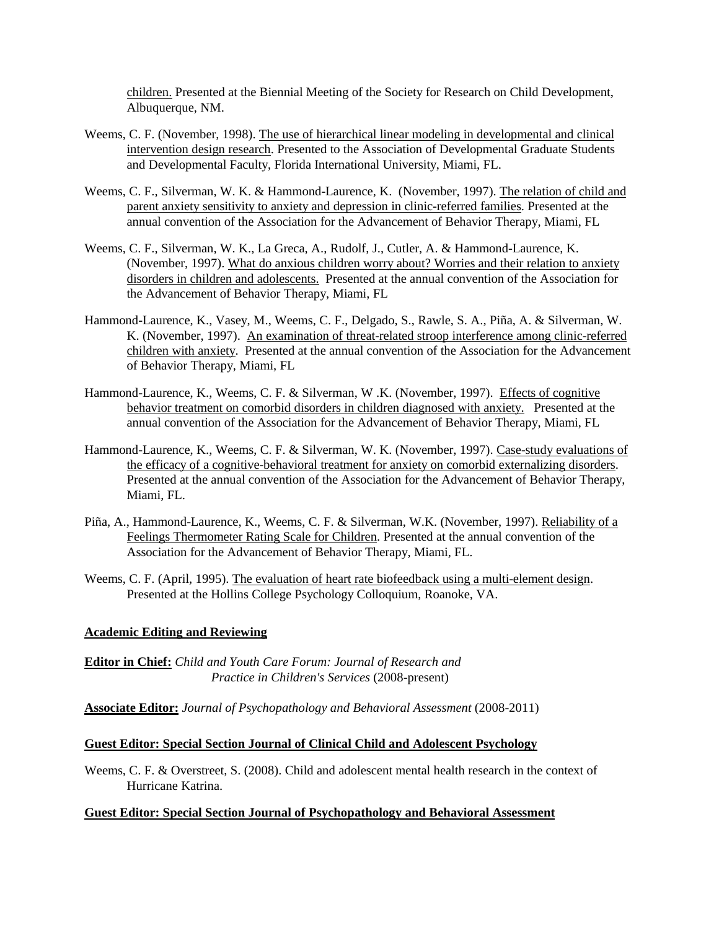children. Presented at the Biennial Meeting of the Society for Research on Child Development, Albuquerque, NM.

- Weems, C. F. (November, 1998). The use of hierarchical linear modeling in developmental and clinical intervention design research. Presented to the Association of Developmental Graduate Students and Developmental Faculty, Florida International University, Miami, FL.
- Weems, C. F., Silverman, W. K. & Hammond-Laurence, K. (November, 1997). The relation of child and parent anxiety sensitivity to anxiety and depression in clinic-referred families. Presented at the annual convention of the Association for the Advancement of Behavior Therapy, Miami, FL
- Weems, C. F., Silverman, W. K., La Greca, A., Rudolf, J., Cutler, A. & Hammond-Laurence, K. (November, 1997). What do anxious children worry about? Worries and their relation to anxiety disorders in children and adolescents. Presented at the annual convention of the Association for the Advancement of Behavior Therapy, Miami, FL
- Hammond-Laurence, K., Vasey, M., Weems, C. F., Delgado, S., Rawle, S. A., Piña, A. & Silverman, W. K. (November, 1997). An examination of threat-related stroop interference among clinic-referred children with anxiety. Presented at the annual convention of the Association for the Advancement of Behavior Therapy, Miami, FL
- Hammond-Laurence, K., Weems, C. F. & Silverman, W .K. (November, 1997). Effects of cognitive behavior treatment on comorbid disorders in children diagnosed with anxiety. Presented at the annual convention of the Association for the Advancement of Behavior Therapy, Miami, FL
- Hammond-Laurence, K., Weems, C. F. & Silverman, W. K. (November, 1997). Case-study evaluations of the efficacy of a cognitive-behavioral treatment for anxiety on comorbid externalizing disorders. Presented at the annual convention of the Association for the Advancement of Behavior Therapy, Miami, FL.
- Piña, A., Hammond-Laurence, K., Weems, C. F. & Silverman, W.K. (November, 1997). Reliability of a Feelings Thermometer Rating Scale for Children. Presented at the annual convention of the Association for the Advancement of Behavior Therapy, Miami, FL.
- Weems, C. F. (April, 1995). The evaluation of heart rate biofeedback using a multi-element design. Presented at the Hollins College Psychology Colloquium, Roanoke, VA.

#### **Academic Editing and Reviewing**

**Editor in Chief:** *Child and Youth Care Forum: Journal of Research and Practice in Children's Services* (2008-present)

**Associate Editor:** *Journal of Psychopathology and Behavioral Assessment* (2008-2011)

#### **Guest Editor: Special Section Journal of Clinical Child and Adolescent Psychology**

Weems, C. F. & Overstreet, S. (2008). Child and adolescent mental health research in the context of Hurricane Katrina.

#### **Guest Editor: Special Section Journal of Psychopathology and Behavioral Assessment**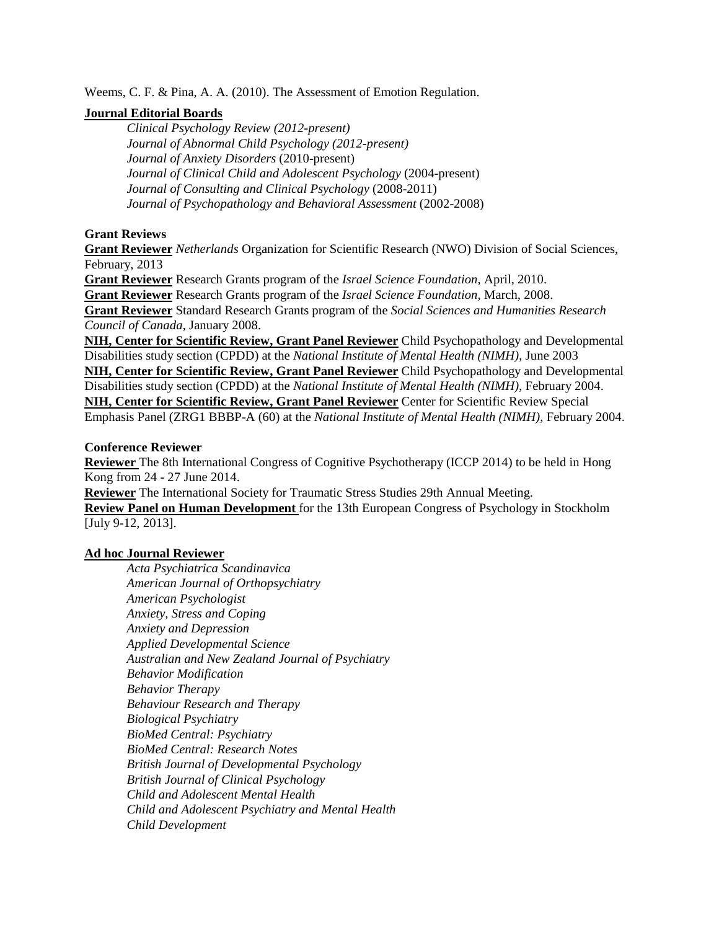Weems, C. F. & Pina, A. A. (2010). The Assessment of Emotion Regulation.

### **Journal Editorial Boards**

*Clinical Psychology Review (2012-present) Journal of Abnormal Child Psychology (2012-present) Journal of Anxiety Disorders* (2010-present) *Journal of Clinical Child and Adolescent Psychology* (2004-present) *Journal of Consulting and Clinical Psychology* (2008-2011) *Journal of Psychopathology and Behavioral Assessment* (2002-2008)

## **Grant Reviews**

**Grant Reviewer** *Netherlands* Organization for Scientific Research (NWO) Division of Social Sciences, February, 2013

**Grant Reviewer** Research Grants program of the *Israel Science Foundation*, April, 2010.

**Grant Reviewer** Research Grants program of the *Israel Science Foundation*, March, 2008.

**Grant Reviewer** Standard Research Grants program of the *Social Sciences and Humanities Research Council of Canada*, January 2008.

**NIH, Center for Scientific Review, Grant Panel Reviewer** Child Psychopathology and Developmental Disabilities study section (CPDD) at the *National Institute of Mental Health (NIMH)*, June 2003 **NIH, Center for Scientific Review, Grant Panel Reviewer** Child Psychopathology and Developmental Disabilities study section (CPDD) at the *National Institute of Mental Health (NIMH)*, February 2004. **NIH, Center for Scientific Review, Grant Panel Reviewer** Center for Scientific Review Special Emphasis Panel (ZRG1 BBBP-A (60) at the *National Institute of Mental Health (NIMH)*, February 2004.

### **Conference Reviewer**

**Reviewer** The 8th International Congress of Cognitive Psychotherapy (ICCP 2014) to be held in Hong Kong from 24 - 27 June 2014.

**Reviewer** The International Society for Traumatic Stress Studies 29th Annual Meeting.

**Review Panel on Human Development** for the 13th European Congress of Psychology in Stockholm [July 9-12, 2013].

## **Ad hoc Journal Reviewer**

*Acta Psychiatrica Scandinavica American Journal of Orthopsychiatry American Psychologist Anxiety, Stress and Coping Anxiety and Depression Applied Developmental Science Australian and New Zealand Journal of Psychiatry Behavior Modification Behavior Therapy Behaviour Research and Therapy Biological Psychiatry BioMed Central: Psychiatry BioMed Central: Research Notes British Journal of Developmental Psychology British Journal of Clinical Psychology Child and Adolescent Mental Health Child and Adolescent Psychiatry and Mental Health Child Development*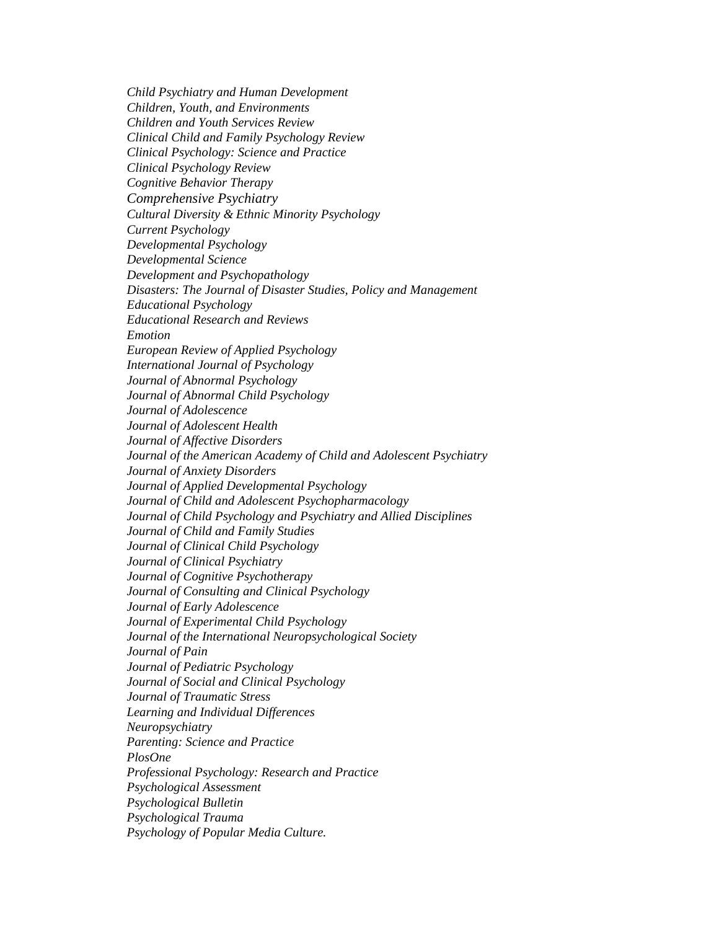*Child Psychiatry and Human Development Children, Youth, and Environments Children and Youth Services Review Clinical Child and Family Psychology Review Clinical Psychology: Science and Practice Clinical Psychology Review Cognitive Behavior Therapy Comprehensive Psychiatry Cultural Diversity & Ethnic Minority Psychology Current Psychology Developmental Psychology Developmental Science Development and Psychopathology Disasters: The Journal of Disaster Studies, Policy and Management Educational Psychology Educational Research and Reviews Emotion European Review of Applied Psychology International Journal of Psychology Journal of Abnormal Psychology Journal of Abnormal Child Psychology Journal of Adolescence Journal of Adolescent Health Journal of Affective Disorders Journal of the American Academy of Child and Adolescent Psychiatry Journal of Anxiety Disorders Journal of Applied Developmental Psychology Journal of Child and Adolescent Psychopharmacology Journal of Child Psychology and Psychiatry and Allied Disciplines Journal of Child and Family Studies Journal of Clinical Child Psychology Journal of Clinical Psychiatry Journal of Cognitive Psychotherapy Journal of Consulting and Clinical Psychology Journal of Early Adolescence Journal of Experimental Child Psychology Journal of the International Neuropsychological Society Journal of Pain Journal of Pediatric Psychology Journal of Social and Clinical Psychology Journal of Traumatic Stress Learning and Individual Differences Neuropsychiatry Parenting: Science and Practice PlosOne Professional Psychology: Research and Practice Psychological Assessment Psychological Bulletin Psychological Trauma Psychology of Popular Media Culture.*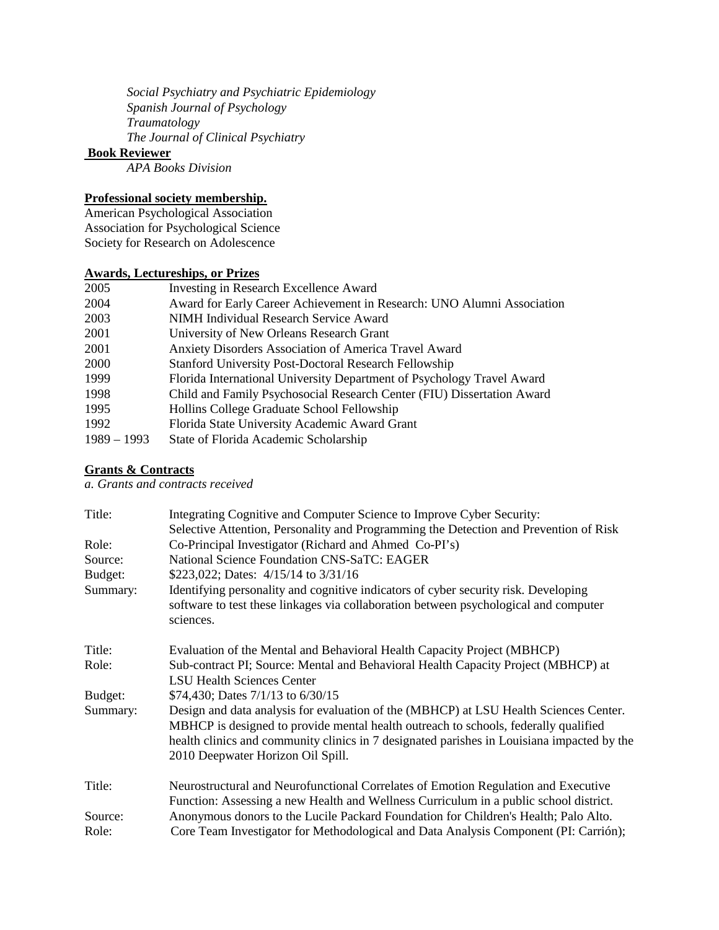*Social Psychiatry and Psychiatric Epidemiology Spanish Journal of Psychology Traumatology The Journal of Clinical Psychiatry*

#### **Book Reviewer**

*APA Books Division*

## **Professional society membership.**

American Psychological Association Association for Psychological Science Society for Research on Adolescence

## **Awards, Lectureships, or Prizes**

| 2005          | Investing in Research Excellence Award                                 |
|---------------|------------------------------------------------------------------------|
| 2004          | Award for Early Career Achievement in Research: UNO Alumni Association |
| 2003          | NIMH Individual Research Service Award                                 |
| 2001          | University of New Orleans Research Grant                               |
| 2001          | Anxiety Disorders Association of America Travel Award                  |
| 2000          | <b>Stanford University Post-Doctoral Research Fellowship</b>           |
| 1999          | Florida International University Department of Psychology Travel Award |
| 1998          | Child and Family Psychosocial Research Center (FIU) Dissertation Award |
| 1995          | Hollins College Graduate School Fellowship                             |
| 1992          | Florida State University Academic Award Grant                          |
| $1989 - 1993$ | State of Florida Academic Scholarship                                  |

### **Grants & Contracts**

*a. Grants and contracts received*

| Title:   | Integrating Cognitive and Computer Science to Improve Cyber Security:                                                                                                                                                                                                                                           |
|----------|-----------------------------------------------------------------------------------------------------------------------------------------------------------------------------------------------------------------------------------------------------------------------------------------------------------------|
| Role:    | Selective Attention, Personality and Programming the Detection and Prevention of Risk<br>Co-Principal Investigator (Richard and Ahmed Co-PI's)                                                                                                                                                                  |
| Source:  | <b>National Science Foundation CNS-SaTC: EAGER</b>                                                                                                                                                                                                                                                              |
| Budget:  | \$223,022; Dates: 4/15/14 to 3/31/16                                                                                                                                                                                                                                                                            |
| Summary: | Identifying personality and cognitive indicators of cyber security risk. Developing<br>software to test these linkages via collaboration between psychological and computer<br>sciences.                                                                                                                        |
| Title:   | Evaluation of the Mental and Behavioral Health Capacity Project (MBHCP)                                                                                                                                                                                                                                         |
| Role:    | Sub-contract PI; Source: Mental and Behavioral Health Capacity Project (MBHCP) at                                                                                                                                                                                                                               |
|          | <b>LSU Health Sciences Center</b>                                                                                                                                                                                                                                                                               |
| Budget:  | \$74,430; Dates 7/1/13 to 6/30/15                                                                                                                                                                                                                                                                               |
| Summary: | Design and data analysis for evaluation of the (MBHCP) at LSU Health Sciences Center.<br>MBHCP is designed to provide mental health outreach to schools, federally qualified<br>health clinics and community clinics in 7 designated parishes in Louisiana impacted by the<br>2010 Deepwater Horizon Oil Spill. |
| Title:   | Neurostructural and Neurofunctional Correlates of Emotion Regulation and Executive                                                                                                                                                                                                                              |
|          | Function: Assessing a new Health and Wellness Curriculum in a public school district.                                                                                                                                                                                                                           |
| Source:  | Anonymous donors to the Lucile Packard Foundation for Children's Health; Palo Alto.                                                                                                                                                                                                                             |
| Role:    | Core Team Investigator for Methodological and Data Analysis Component (PI: Carrión);                                                                                                                                                                                                                            |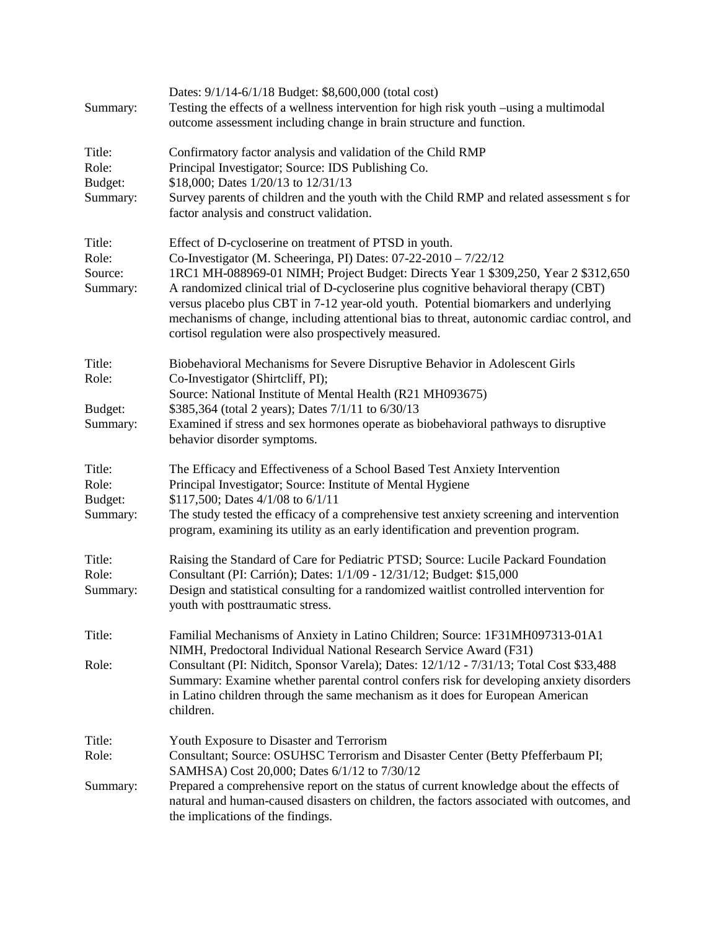| Summary:                               | Dates: 9/1/14-6/1/18 Budget: \$8,600,000 (total cost)<br>Testing the effects of a wellness intervention for high risk youth –using a multimodal<br>outcome assessment including change in brain structure and function.                                                                                                                                                                                                                                                                                                                               |
|----------------------------------------|-------------------------------------------------------------------------------------------------------------------------------------------------------------------------------------------------------------------------------------------------------------------------------------------------------------------------------------------------------------------------------------------------------------------------------------------------------------------------------------------------------------------------------------------------------|
| Title:<br>Role:<br>Budget:<br>Summary: | Confirmatory factor analysis and validation of the Child RMP<br>Principal Investigator; Source: IDS Publishing Co.<br>\$18,000; Dates 1/20/13 to 12/31/13<br>Survey parents of children and the youth with the Child RMP and related assessment s for<br>factor analysis and construct validation.                                                                                                                                                                                                                                                    |
| Title:<br>Role:<br>Source:<br>Summary: | Effect of D-cycloserine on treatment of PTSD in youth.<br>Co-Investigator (M. Scheeringa, PI) Dates: 07-22-2010 - 7/22/12<br>1RC1 MH-088969-01 NIMH; Project Budget: Directs Year 1 \$309,250, Year 2 \$312,650<br>A randomized clinical trial of D-cycloserine plus cognitive behavioral therapy (CBT)<br>versus placebo plus CBT in 7-12 year-old youth. Potential biomarkers and underlying<br>mechanisms of change, including attentional bias to threat, autonomic cardiac control, and<br>cortisol regulation were also prospectively measured. |
| Title:<br>Role:                        | Biobehavioral Mechanisms for Severe Disruptive Behavior in Adolescent Girls<br>Co-Investigator (Shirtcliff, PI);<br>Source: National Institute of Mental Health (R21 MH093675)                                                                                                                                                                                                                                                                                                                                                                        |
| Budget:<br>Summary:                    | \$385,364 (total 2 years); Dates 7/1/11 to 6/30/13<br>Examined if stress and sex hormones operate as biobehavioral pathways to disruptive<br>behavior disorder symptoms.                                                                                                                                                                                                                                                                                                                                                                              |
| Title:<br>Role:<br>Budget:<br>Summary: | The Efficacy and Effectiveness of a School Based Test Anxiety Intervention<br>Principal Investigator; Source: Institute of Mental Hygiene<br>\$117,500; Dates 4/1/08 to 6/1/11<br>The study tested the efficacy of a comprehensive test anxiety screening and intervention<br>program, examining its utility as an early identification and prevention program.                                                                                                                                                                                       |
| Title:<br>Role:<br>Summary:            | Raising the Standard of Care for Pediatric PTSD; Source: Lucile Packard Foundation<br>Consultant (PI: Carrión); Dates: 1/1/09 - 12/31/12; Budget: \$15,000<br>Design and statistical consulting for a randomized waitlist controlled intervention for<br>youth with posttraumatic stress.                                                                                                                                                                                                                                                             |
| Title:                                 | Familial Mechanisms of Anxiety in Latino Children; Source: 1F31MH097313-01A1<br>NIMH, Predoctoral Individual National Research Service Award (F31)                                                                                                                                                                                                                                                                                                                                                                                                    |
| Role:                                  | Consultant (PI: Niditch, Sponsor Varela); Dates: 12/1/12 - 7/31/13; Total Cost \$33,488<br>Summary: Examine whether parental control confers risk for developing anxiety disorders<br>in Latino children through the same mechanism as it does for European American<br>children.                                                                                                                                                                                                                                                                     |
| Title:<br>Role:                        | Youth Exposure to Disaster and Terrorism<br>Consultant; Source: OSUHSC Terrorism and Disaster Center (Betty Pfefferbaum PI;                                                                                                                                                                                                                                                                                                                                                                                                                           |
| Summary:                               | SAMHSA) Cost 20,000; Dates 6/1/12 to 7/30/12<br>Prepared a comprehensive report on the status of current knowledge about the effects of<br>natural and human-caused disasters on children, the factors associated with outcomes, and<br>the implications of the findings.                                                                                                                                                                                                                                                                             |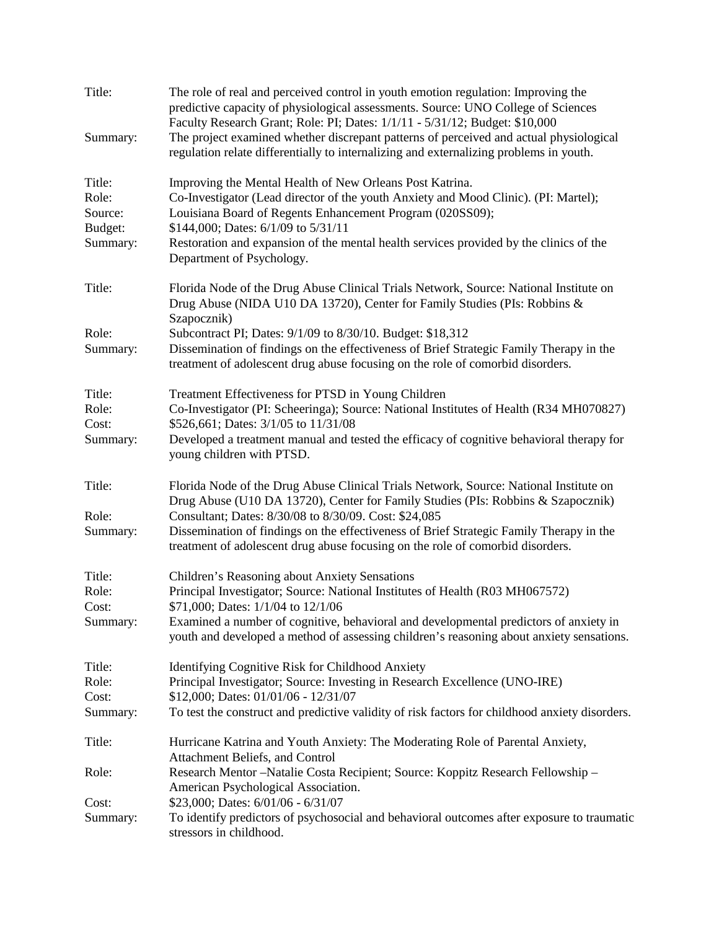| Title:   | The role of real and perceived control in youth emotion regulation: Improving the<br>predictive capacity of physiological assessments. Source: UNO College of Sciences<br>Faculty Research Grant; Role: PI; Dates: 1/1/11 - 5/31/12; Budget: \$10,000 |
|----------|-------------------------------------------------------------------------------------------------------------------------------------------------------------------------------------------------------------------------------------------------------|
| Summary: | The project examined whether discrepant patterns of perceived and actual physiological<br>regulation relate differentially to internalizing and externalizing problems in youth.                                                                      |
| Title:   | Improving the Mental Health of New Orleans Post Katrina.                                                                                                                                                                                              |
| Role:    | Co-Investigator (Lead director of the youth Anxiety and Mood Clinic). (PI: Martel);                                                                                                                                                                   |
| Source:  | Louisiana Board of Regents Enhancement Program (020SS09);                                                                                                                                                                                             |
| Budget:  | \$144,000; Dates: 6/1/09 to 5/31/11                                                                                                                                                                                                                   |
| Summary: | Restoration and expansion of the mental health services provided by the clinics of the<br>Department of Psychology.                                                                                                                                   |
| Title:   | Florida Node of the Drug Abuse Clinical Trials Network, Source: National Institute on<br>Drug Abuse (NIDA U10 DA 13720), Center for Family Studies (PIs: Robbins &<br>Szapocznik)                                                                     |
| Role:    | Subcontract PI; Dates: 9/1/09 to 8/30/10. Budget: \$18,312                                                                                                                                                                                            |
| Summary: | Dissemination of findings on the effectiveness of Brief Strategic Family Therapy in the<br>treatment of adolescent drug abuse focusing on the role of comorbid disorders.                                                                             |
| Title:   | Treatment Effectiveness for PTSD in Young Children                                                                                                                                                                                                    |
| Role:    | Co-Investigator (PI: Scheeringa); Source: National Institutes of Health (R34 MH070827)                                                                                                                                                                |
| Cost:    | \$526,661; Dates: 3/1/05 to 11/31/08                                                                                                                                                                                                                  |
| Summary: | Developed a treatment manual and tested the efficacy of cognitive behavioral therapy for<br>young children with PTSD.                                                                                                                                 |
| Title:   | Florida Node of the Drug Abuse Clinical Trials Network, Source: National Institute on<br>Drug Abuse (U10 DA 13720), Center for Family Studies (PIs: Robbins & Szapocznik)                                                                             |
| Role:    | Consultant; Dates: 8/30/08 to 8/30/09. Cost: \$24,085                                                                                                                                                                                                 |
| Summary: | Dissemination of findings on the effectiveness of Brief Strategic Family Therapy in the<br>treatment of adolescent drug abuse focusing on the role of comorbid disorders.                                                                             |
| Title:   | Children's Reasoning about Anxiety Sensations                                                                                                                                                                                                         |
| Role:    | Principal Investigator; Source: National Institutes of Health (R03 MH067572)                                                                                                                                                                          |
| Cost:    | \$71,000; Dates: 1/1/04 to 12/1/06                                                                                                                                                                                                                    |
| Summary: | Examined a number of cognitive, behavioral and developmental predictors of anxiety in<br>youth and developed a method of assessing children's reasoning about anxiety sensations.                                                                     |
| Title:   | Identifying Cognitive Risk for Childhood Anxiety                                                                                                                                                                                                      |
| Role:    | Principal Investigator; Source: Investing in Research Excellence (UNO-IRE)                                                                                                                                                                            |
| Cost:    | \$12,000; Dates: 01/01/06 - 12/31/07                                                                                                                                                                                                                  |
| Summary: | To test the construct and predictive validity of risk factors for childhood anxiety disorders.                                                                                                                                                        |
| Title:   | Hurricane Katrina and Youth Anxiety: The Moderating Role of Parental Anxiety,<br>Attachment Beliefs, and Control                                                                                                                                      |
| Role:    | Research Mentor-Natalie Costa Recipient; Source: Koppitz Research Fellowship-<br>American Psychological Association.                                                                                                                                  |
| Cost:    | \$23,000; Dates: 6/01/06 - 6/31/07                                                                                                                                                                                                                    |
| Summary: | To identify predictors of psychosocial and behavioral outcomes after exposure to traumatic<br>stressors in childhood.                                                                                                                                 |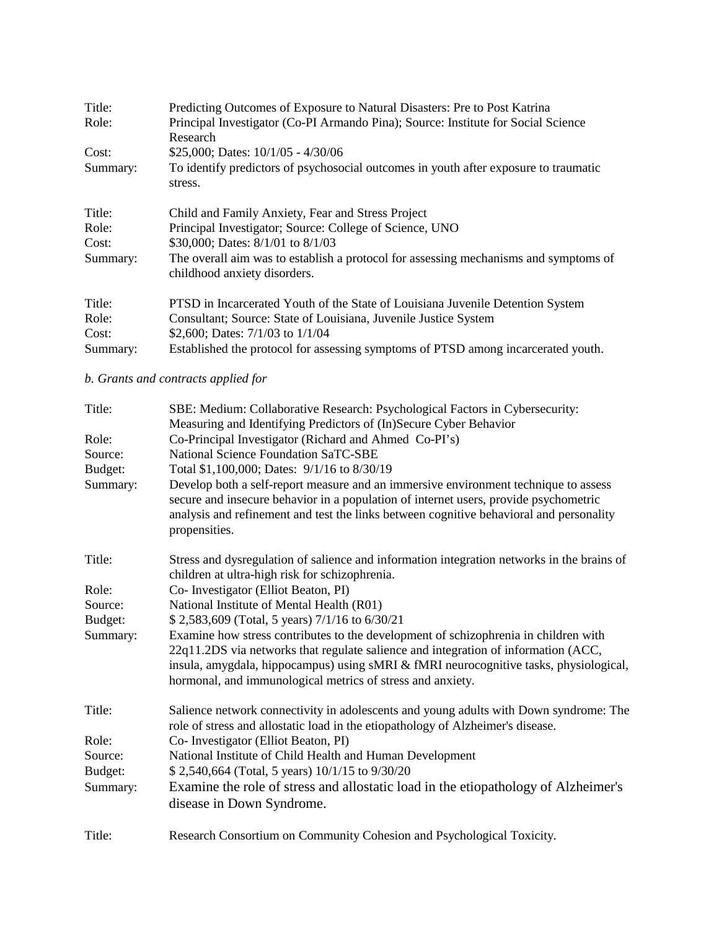| Title:   | Predicting Outcomes of Exposure to Natural Disasters: Pre to Post Katrina                                            |
|----------|----------------------------------------------------------------------------------------------------------------------|
| Role:    | Principal Investigator (Co-PI Armando Pina); Source: Institute for Social Science                                    |
|          | Research                                                                                                             |
| Cost:    | \$25,000; Dates: $10/1/05 - 4/30/06$                                                                                 |
| Summary: | To identify predictors of psychosocial outcomes in youth after exposure to traumatic<br>stress.                      |
| Title:   | Child and Family Anxiety, Fear and Stress Project                                                                    |
| Role:    | Principal Investigator; Source: College of Science, UNO                                                              |
| Cost:    | \$30,000; Dates: 8/1/01 to 8/1/03                                                                                    |
| Summary: | The overall aim was to establish a protocol for assessing mechanisms and symptoms of<br>childhood anxiety disorders. |
| Title:   | PTSD in Incarcerated Youth of the State of Louisiana Juvenile Detention System                                       |
| Role:    | Consultant; Source: State of Louisiana, Juvenile Justice System                                                      |
| Cost:    | \$2,600; Dates: $7/1/03$ to $1/1/04$                                                                                 |
| Summary: | Established the protocol for assessing symptoms of PTSD among incarcerated youth.                                    |

## *b. Grants and contracts applied for*

| Title:   | SBE: Medium: Collaborative Research: Psychological Factors in Cybersecurity:                                                                                                                                                                                                                                                     |
|----------|----------------------------------------------------------------------------------------------------------------------------------------------------------------------------------------------------------------------------------------------------------------------------------------------------------------------------------|
|          | Measuring and Identifying Predictors of (In)Secure Cyber Behavior                                                                                                                                                                                                                                                                |
| Role:    | Co-Principal Investigator (Richard and Ahmed Co-PI's)                                                                                                                                                                                                                                                                            |
| Source:  | <b>National Science Foundation SaTC-SBE</b>                                                                                                                                                                                                                                                                                      |
| Budget:  | Total \$1,100,000; Dates: 9/1/16 to 8/30/19                                                                                                                                                                                                                                                                                      |
| Summary: | Develop both a self-report measure and an immersive environment technique to assess<br>secure and insecure behavior in a population of internet users, provide psychometric<br>analysis and refinement and test the links between cognitive behavioral and personality<br>propensities.                                          |
| Title:   | Stress and dysregulation of salience and information integration networks in the brains of<br>children at ultra-high risk for schizophrenia.                                                                                                                                                                                     |
| Role:    | Co- Investigator (Elliot Beaton, PI)                                                                                                                                                                                                                                                                                             |
| Source:  | National Institute of Mental Health (R01)                                                                                                                                                                                                                                                                                        |
| Budget:  | \$2,583,609 (Total, 5 years) 7/1/16 to 6/30/21                                                                                                                                                                                                                                                                                   |
| Summary: | Examine how stress contributes to the development of schizophrenia in children with<br>22q11.2DS via networks that regulate salience and integration of information (ACC,<br>insula, amygdala, hippocampus) using sMRI & fMRI neurocognitive tasks, physiological,<br>hormonal, and immunological metrics of stress and anxiety. |
| Title:   | Salience network connectivity in adolescents and young adults with Down syndrome: The<br>role of stress and allostatic load in the etiopathology of Alzheimer's disease.                                                                                                                                                         |
| Role:    | Co- Investigator (Elliot Beaton, PI)                                                                                                                                                                                                                                                                                             |
| Source:  | National Institute of Child Health and Human Development                                                                                                                                                                                                                                                                         |
| Budget:  | \$2,540,664 (Total, 5 years) 10/1/15 to 9/30/20                                                                                                                                                                                                                                                                                  |
| Summary: | Examine the role of stress and allostatic load in the etiopathology of Alzheimer's<br>disease in Down Syndrome.                                                                                                                                                                                                                  |
| Title:   | Research Consortium on Community Cohesion and Psychological Toxicity.                                                                                                                                                                                                                                                            |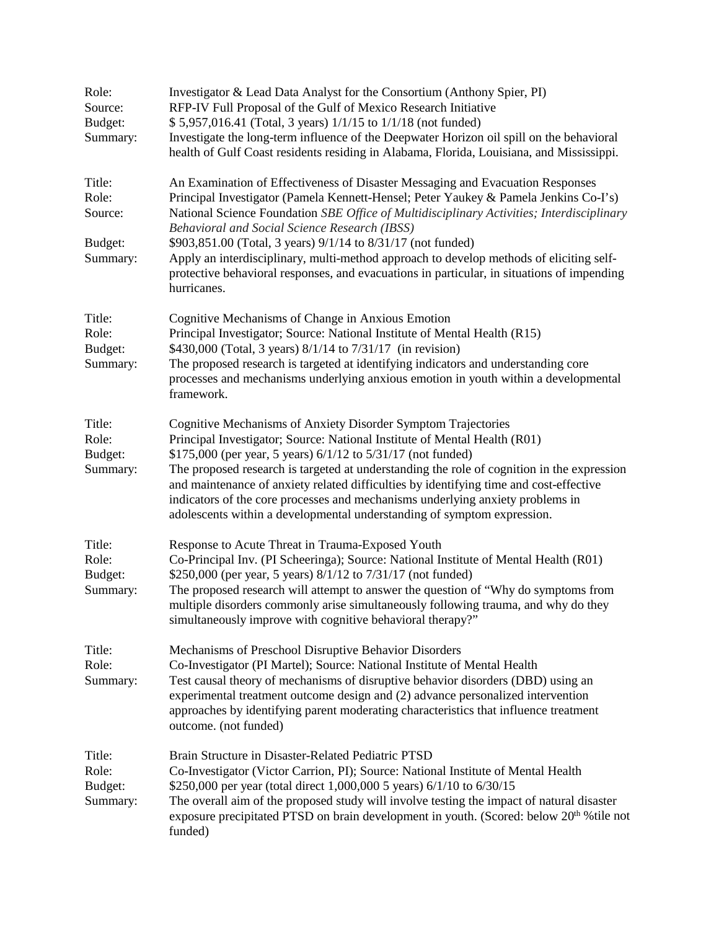| Role:<br>Source:<br>Budget:<br>Summary:           | Investigator & Lead Data Analyst for the Consortium (Anthony Spier, PI)<br>RFP-IV Full Proposal of the Gulf of Mexico Research Initiative<br>\$5,957,016.41 (Total, 3 years) 1/1/15 to 1/1/18 (not funded)<br>Investigate the long-term influence of the Deepwater Horizon oil spill on the behavioral<br>health of Gulf Coast residents residing in Alabama, Florida, Louisiana, and Mississippi.                                                                                                                                                                                           |
|---------------------------------------------------|----------------------------------------------------------------------------------------------------------------------------------------------------------------------------------------------------------------------------------------------------------------------------------------------------------------------------------------------------------------------------------------------------------------------------------------------------------------------------------------------------------------------------------------------------------------------------------------------|
| Title:<br>Role:<br>Source:<br>Budget:<br>Summary: | An Examination of Effectiveness of Disaster Messaging and Evacuation Responses<br>Principal Investigator (Pamela Kennett-Hensel; Peter Yaukey & Pamela Jenkins Co-I's)<br>National Science Foundation SBE Office of Multidisciplinary Activities; Interdisciplinary<br>Behavioral and Social Science Research (IBSS)<br>\$903,851.00 (Total, 3 years) 9/1/14 to 8/31/17 (not funded)<br>Apply an interdisciplinary, multi-method approach to develop methods of eliciting self-<br>protective behavioral responses, and evacuations in particular, in situations of impending<br>hurricanes. |
| Title:<br>Role:<br>Budget:<br>Summary:            | Cognitive Mechanisms of Change in Anxious Emotion<br>Principal Investigator; Source: National Institute of Mental Health (R15)<br>\$430,000 (Total, 3 years) 8/1/14 to 7/31/17 (in revision)<br>The proposed research is targeted at identifying indicators and understanding core<br>processes and mechanisms underlying anxious emotion in youth within a developmental<br>framework.                                                                                                                                                                                                      |
| Title:<br>Role:<br>Budget:<br>Summary:            | Cognitive Mechanisms of Anxiety Disorder Symptom Trajectories<br>Principal Investigator; Source: National Institute of Mental Health (R01)<br>\$175,000 (per year, 5 years) 6/1/12 to 5/31/17 (not funded)<br>The proposed research is targeted at understanding the role of cognition in the expression<br>and maintenance of anxiety related difficulties by identifying time and cost-effective<br>indicators of the core processes and mechanisms underlying anxiety problems in<br>adolescents within a developmental understanding of symptom expression.                              |
| Title:<br>Role:<br>Budget:<br>Summary:            | Response to Acute Threat in Trauma-Exposed Youth<br>Co-Principal Inv. (PI Scheeringa); Source: National Institute of Mental Health (R01)<br>\$250,000 (per year, 5 years) 8/1/12 to 7/31/17 (not funded)<br>The proposed research will attempt to answer the question of "Why do symptoms from<br>multiple disorders commonly arise simultaneously following trauma, and why do they<br>simultaneously improve with cognitive behavioral therapy?"                                                                                                                                           |
| Title:<br>Role:<br>Summary:                       | Mechanisms of Preschool Disruptive Behavior Disorders<br>Co-Investigator (PI Martel); Source: National Institute of Mental Health<br>Test causal theory of mechanisms of disruptive behavior disorders (DBD) using an<br>experimental treatment outcome design and (2) advance personalized intervention<br>approaches by identifying parent moderating characteristics that influence treatment<br>outcome. (not funded)                                                                                                                                                                    |
| Title:<br>Role:<br>Budget:<br>Summary:            | Brain Structure in Disaster-Related Pediatric PTSD<br>Co-Investigator (Victor Carrion, PI); Source: National Institute of Mental Health<br>\$250,000 per year (total direct 1,000,000 5 years) 6/1/10 to 6/30/15<br>The overall aim of the proposed study will involve testing the impact of natural disaster<br>exposure precipitated PTSD on brain development in youth. (Scored: below 20 <sup>th</sup> % tile not<br>funded)                                                                                                                                                             |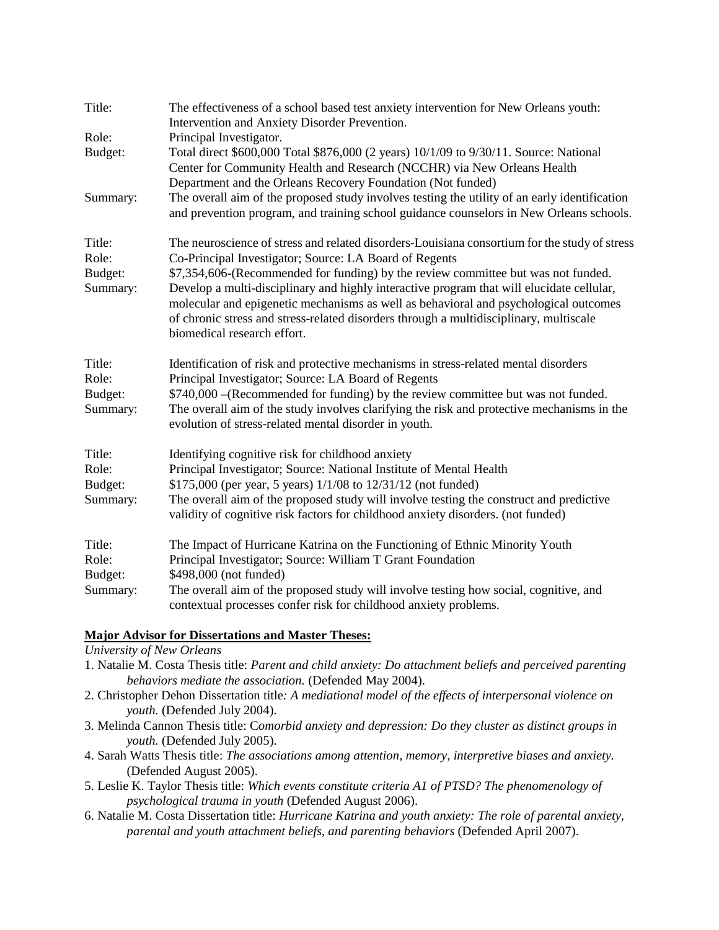| Title:                                 | The effectiveness of a school based test anxiety intervention for New Orleans youth:<br>Intervention and Anxiety Disorder Prevention.                                                                                                                                                                                                                                                                                                                     |
|----------------------------------------|-----------------------------------------------------------------------------------------------------------------------------------------------------------------------------------------------------------------------------------------------------------------------------------------------------------------------------------------------------------------------------------------------------------------------------------------------------------|
| Role:                                  | Principal Investigator.                                                                                                                                                                                                                                                                                                                                                                                                                                   |
| Budget:                                | Total direct \$600,000 Total \$876,000 (2 years) 10/1/09 to 9/30/11. Source: National<br>Center for Community Health and Research (NCCHR) via New Orleans Health<br>Department and the Orleans Recovery Foundation (Not funded)                                                                                                                                                                                                                           |
| Summary:                               | The overall aim of the proposed study involves testing the utility of an early identification<br>and prevention program, and training school guidance counselors in New Orleans schools.                                                                                                                                                                                                                                                                  |
| Title:                                 | The neuroscience of stress and related disorders-Louisiana consortium for the study of stress                                                                                                                                                                                                                                                                                                                                                             |
| Role:<br>Budget:<br>Summary:           | Co-Principal Investigator; Source: LA Board of Regents<br>\$7,354,606-(Recommended for funding) by the review committee but was not funded.<br>Develop a multi-disciplinary and highly interactive program that will elucidate cellular,<br>molecular and epigenetic mechanisms as well as behavioral and psychological outcomes<br>of chronic stress and stress-related disorders through a multidisciplinary, multiscale<br>biomedical research effort. |
| Title:<br>Role:<br>Budget:<br>Summary: | Identification of risk and protective mechanisms in stress-related mental disorders<br>Principal Investigator; Source: LA Board of Regents<br>\$740,000 - (Recommended for funding) by the review committee but was not funded.<br>The overall aim of the study involves clarifying the risk and protective mechanisms in the<br>evolution of stress-related mental disorder in youth.                                                                    |
| Title:<br>Role:<br>Budget:<br>Summary: | Identifying cognitive risk for childhood anxiety<br>Principal Investigator; Source: National Institute of Mental Health<br>\$175,000 (per year, 5 years) $1/1/08$ to $12/31/12$ (not funded)<br>The overall aim of the proposed study will involve testing the construct and predictive<br>validity of cognitive risk factors for childhood anxiety disorders. (not funded)                                                                               |
| Title:<br>Role:<br>Budget:             | The Impact of Hurricane Katrina on the Functioning of Ethnic Minority Youth<br>Principal Investigator; Source: William T Grant Foundation<br>\$498,000 (not funded)                                                                                                                                                                                                                                                                                       |
| Summary:                               | The overall aim of the proposed study will involve testing how social, cognitive, and<br>contextual processes confer risk for childhood anxiety problems.                                                                                                                                                                                                                                                                                                 |

### **Major Advisor for Dissertations and Master Theses:**

*University of New Orleans*

- 1. Natalie M. Costa Thesis title: *Parent and child anxiety: Do attachment beliefs and perceived parenting behaviors mediate the association.* (Defended May 2004).
- 2. Christopher Dehon Dissertation title*: A mediational model of the effects of interpersonal violence on youth.* (Defended July 2004).
- 3. Melinda Cannon Thesis title: C*omorbid anxiety and depression: Do they cluster as distinct groups in youth.* (Defended July 2005).
- 4. Sarah Watts Thesis title: *The associations among attention, memory, interpretive biases and anxiety.* (Defended August 2005).
- 5. Leslie K. Taylor Thesis title: *Which events constitute criteria A1 of PTSD? The phenomenology of psychological trauma in youth* (Defended August 2006).
- 6. Natalie M. Costa Dissertation title: *Hurricane Katrina and youth anxiety: The role of parental anxiety, parental and youth attachment beliefs, and parenting behaviors* (Defended April 2007).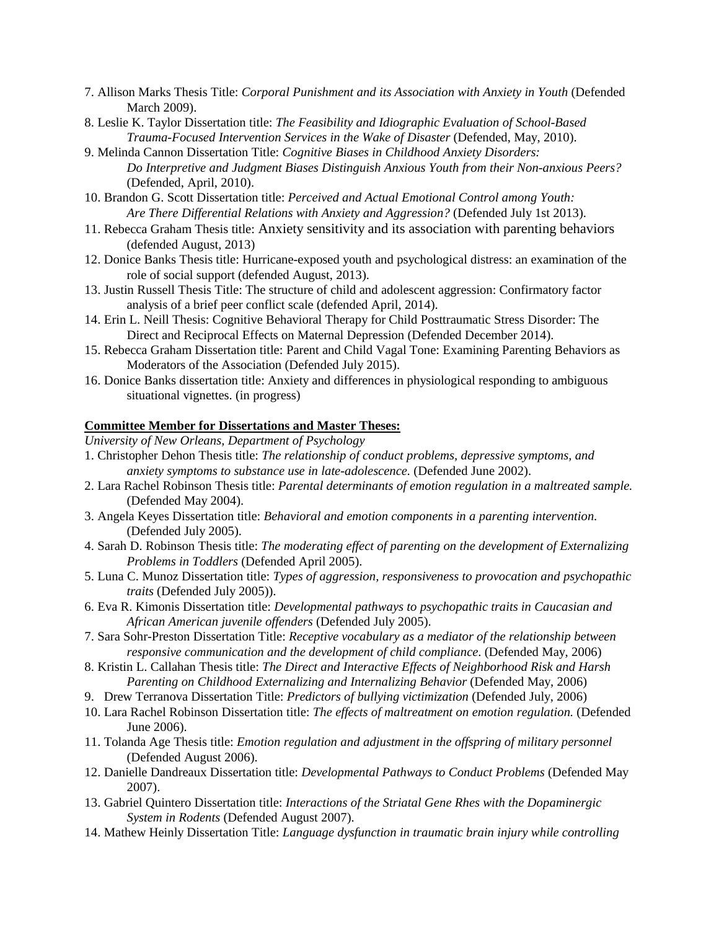- 7. Allison Marks Thesis Title: *Corporal Punishment and its Association with Anxiety in Youth* (Defended March 2009).
- 8. Leslie K. Taylor Dissertation title: *The Feasibility and Idiographic Evaluation of School-Based Trauma-Focused Intervention Services in the Wake of Disaster* (Defended, May, 2010).
- 9. Melinda Cannon Dissertation Title: *Cognitive Biases in Childhood Anxiety Disorders: Do Interpretive and Judgment Biases Distinguish Anxious Youth from their Non-anxious Peers?*  (Defended, April, 2010).
- 10. Brandon G. Scott Dissertation title: *Perceived and Actual Emotional Control among Youth: Are There Differential Relations with Anxiety and Aggression?* (Defended July 1st 2013).
- 11. Rebecca Graham Thesis title: Anxiety sensitivity and its association with parenting behaviors (defended August, 2013)
- 12. Donice Banks Thesis title: Hurricane-exposed youth and psychological distress: an examination of the role of social support (defended August, 2013).
- 13. Justin Russell Thesis Title: The structure of child and adolescent aggression: Confirmatory factor analysis of a brief peer conflict scale (defended April, 2014).
- 14. Erin L. Neill Thesis: Cognitive Behavioral Therapy for Child Posttraumatic Stress Disorder: The Direct and Reciprocal Effects on Maternal Depression (Defended December 2014).
- 15. Rebecca Graham Dissertation title: Parent and Child Vagal Tone: Examining Parenting Behaviors as Moderators of the Association (Defended July 2015).
- 16. Donice Banks dissertation title: Anxiety and differences in physiological responding to ambiguous situational vignettes. (in progress)

#### **Committee Member for Dissertations and Master Theses:**

*University of New Orleans, Department of Psychology*

- 1. Christopher Dehon Thesis title: *The relationship of conduct problems, depressive symptoms, and anxiety symptoms to substance use in late-adolescence.* (Defended June 2002).
- 2. Lara Rachel Robinson Thesis title: *Parental determinants of emotion regulation in a maltreated sample.* (Defended May 2004).
- 3. Angela Keyes Dissertation title: *Behavioral and emotion components in a parenting intervention.* (Defended July 2005).
- 4. Sarah D. Robinson Thesis title: *The moderating effect of parenting on the development of Externalizing Problems in Toddlers* (Defended April 2005).
- 5. Luna C. Munoz Dissertation title: *Types of aggression, responsiveness to provocation and psychopathic traits* (Defended July 2005)).
- 6. Eva R. Kimonis Dissertation title: *Developmental pathways to psychopathic traits in Caucasian and African American juvenile offenders* (Defended July 2005).
- 7. Sara Sohr-Preston Dissertation Title: *Receptive vocabulary as a mediator of the relationship between responsive communication and the development of child compliance*. (Defended May, 2006)
- 8. Kristin L. Callahan Thesis title: *The Direct and Interactive Effects of Neighborhood Risk and Harsh Parenting on Childhood Externalizing and Internalizing Behavior* (Defended May, 2006)
- 9. Drew Terranova Dissertation Title: *Predictors of bullying victimization* (Defended July, 2006)
- 10. Lara Rachel Robinson Dissertation title: *The effects of maltreatment on emotion regulation.* (Defended June 2006).
- 11. Tolanda Age Thesis title: *Emotion regulation and adjustment in the offspring of military personnel*  (Defended August 2006).
- 12. Danielle Dandreaux Dissertation title: *Developmental Pathways to Conduct Problems* (Defended May 2007).
- 13. Gabriel Quintero Dissertation title: *Interactions of the Striatal Gene Rhes with the Dopaminergic System in Rodents* (Defended August 2007).
- 14. Mathew Heinly Dissertation Title: *Language dysfunction in traumatic brain injury while controlling*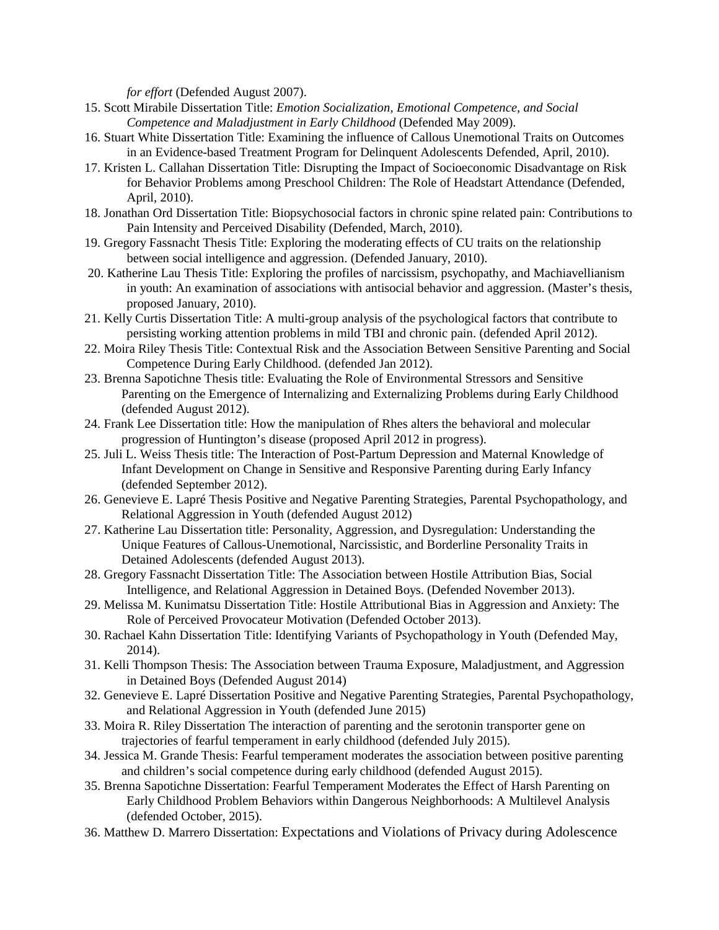*for effort* (Defended August 2007).

- 15. Scott Mirabile Dissertation Title: *Emotion Socialization, Emotional Competence, and Social Competence and Maladjustment in Early Childhood* (Defended May 2009).
- 16. Stuart White Dissertation Title: Examining the influence of Callous Unemotional Traits on Outcomes in an Evidence-based Treatment Program for Delinquent Adolescents Defended, April, 2010).
- 17. Kristen L. Callahan Dissertation Title: Disrupting the Impact of Socioeconomic Disadvantage on Risk for Behavior Problems among Preschool Children: The Role of Headstart Attendance (Defended, April, 2010).
- 18. Jonathan Ord Dissertation Title: Biopsychosocial factors in chronic spine related pain: Contributions to Pain Intensity and Perceived Disability (Defended, March, 2010).
- 19. Gregory Fassnacht Thesis Title: Exploring the moderating effects of CU traits on the relationship between social intelligence and aggression. (Defended January, 2010).
- 20. Katherine Lau Thesis Title: Exploring the profiles of narcissism, psychopathy, and Machiavellianism in youth: An examination of associations with antisocial behavior and aggression. (Master's thesis, proposed January, 2010).
- 21. Kelly Curtis Dissertation Title: A multi-group analysis of the psychological factors that contribute to persisting working attention problems in mild TBI and chronic pain. (defended April 2012).
- 22. Moira Riley Thesis Title: Contextual Risk and the Association Between Sensitive Parenting and Social Competence During Early Childhood. (defended Jan 2012).
- 23. Brenna Sapotichne Thesis title: Evaluating the Role of Environmental Stressors and Sensitive Parenting on the Emergence of Internalizing and Externalizing Problems during Early Childhood (defended August 2012).
- 24. Frank Lee Dissertation title: How the manipulation of Rhes alters the behavioral and molecular progression of Huntington's disease (proposed April 2012 in progress).
- 25. Juli L. Weiss Thesis title: The Interaction of Post-Partum Depression and Maternal Knowledge of Infant Development on Change in Sensitive and Responsive Parenting during Early Infancy (defended September 2012).
- 26. Genevieve E. Lapré Thesis Positive and Negative Parenting Strategies, Parental Psychopathology, and Relational Aggression in Youth (defended August 2012)
- 27. Katherine Lau Dissertation title: Personality, Aggression, and Dysregulation: Understanding the Unique Features of Callous-Unemotional, Narcissistic, and Borderline Personality Traits in Detained Adolescents (defended August 2013).
- 28. Gregory Fassnacht Dissertation Title: The Association between Hostile Attribution Bias, Social Intelligence, and Relational Aggression in Detained Boys. (Defended November 2013).
- 29. Melissa M. Kunimatsu Dissertation Title: Hostile Attributional Bias in Aggression and Anxiety: The Role of Perceived Provocateur Motivation (Defended October 2013).
- 30. Rachael Kahn Dissertation Title: Identifying Variants of Psychopathology in Youth (Defended May, 2014).
- 31. Kelli Thompson Thesis: The Association between Trauma Exposure, Maladjustment, and Aggression in Detained Boys (Defended August 2014)
- 32. Genevieve E. Lapré Dissertation Positive and Negative Parenting Strategies, Parental Psychopathology, and Relational Aggression in Youth (defended June 2015)
- 33. Moira R. Riley Dissertation The interaction of parenting and the serotonin transporter gene on trajectories of fearful temperament in early childhood (defended July 2015).
- 34. Jessica M. Grande Thesis: Fearful temperament moderates the association between positive parenting and children's social competence during early childhood (defended August 2015).
- 35. Brenna Sapotichne Dissertation: Fearful Temperament Moderates the Effect of Harsh Parenting on Early Childhood Problem Behaviors within Dangerous Neighborhoods: A Multilevel Analysis (defended October, 2015).
- 36. Matthew D. Marrero Dissertation: Expectations and Violations of Privacy during Adolescence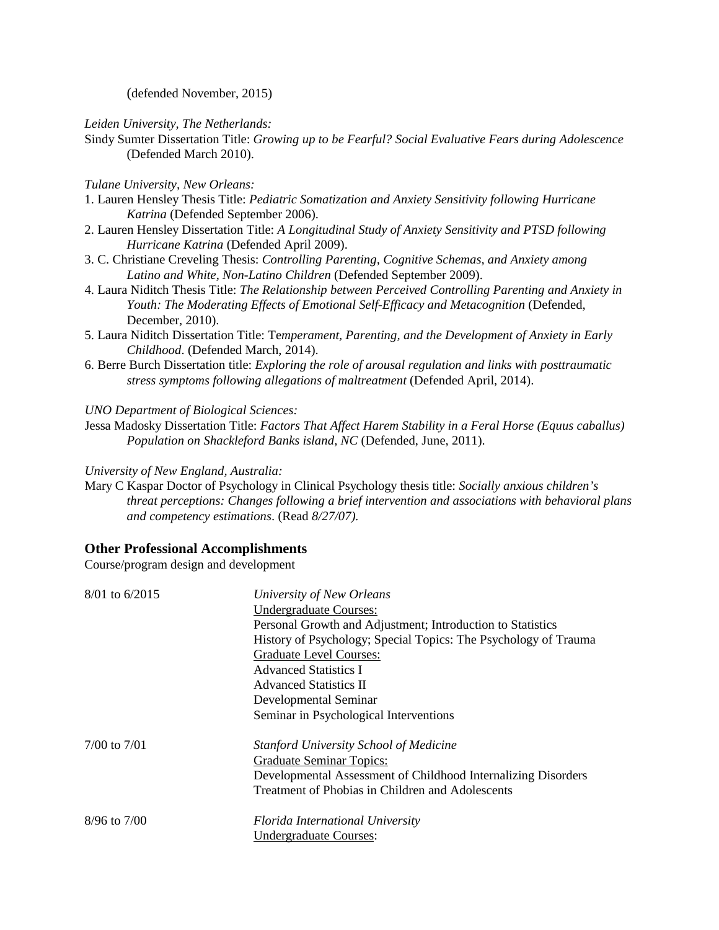(defended November, 2015)

*Leiden University, The Netherlands:*

Sindy Sumter Dissertation Title: *Growing up to be Fearful? Social Evaluative Fears during Adolescence* (Defended March 2010).

#### *Tulane University, New Orleans:*

- 1. Lauren Hensley Thesis Title: *Pediatric Somatization and Anxiety Sensitivity following Hurricane Katrina* (Defended September 2006).
- 2. Lauren Hensley Dissertation Title: *A Longitudinal Study of Anxiety Sensitivity and PTSD following Hurricane Katrina* (Defended April 2009).
- 3. C. Christiane Creveling Thesis: *Controlling Parenting, Cognitive Schemas, and Anxiety among Latino and White, Non-Latino Children* (Defended September 2009).
- 4. Laura Niditch Thesis Title: *The Relationship between Perceived Controlling Parenting and Anxiety in Youth: The Moderating Effects of Emotional Self-Efficacy and Metacognition* (Defended, December, 2010).
- 5. Laura Niditch Dissertation Title: Te*mperament, Parenting, and the Development of Anxiety in Early Childhood*. (Defended March, 2014).
- 6. Berre Burch Dissertation title: *Exploring the role of arousal regulation and links with posttraumatic stress symptoms following allegations of maltreatment* (Defended April, 2014).

*UNO Department of Biological Sciences:*

Jessa Madosky Dissertation Title: *Factors That Affect Harem Stability in a Feral Horse (Equus caballus) Population on Shackleford Banks island, NC* (Defended, June, 2011).

*University of New England, Australia:*

Mary C Kaspar Doctor of Psychology in Clinical Psychology thesis title: *Socially anxious children's threat perceptions: Changes following a brief intervention and associations with behavioral plans and competency estimations*. (Read *8/27/07).*

### **Other Professional Accomplishments**

Course/program design and development

| 8/01 to 6/2015   | University of New Orleans                                       |
|------------------|-----------------------------------------------------------------|
|                  | <b>Undergraduate Courses:</b>                                   |
|                  | Personal Growth and Adjustment; Introduction to Statistics      |
|                  | History of Psychology; Special Topics: The Psychology of Trauma |
|                  | <b>Graduate Level Courses:</b>                                  |
|                  | <b>Advanced Statistics I</b>                                    |
|                  | <b>Advanced Statistics II</b>                                   |
|                  | Developmental Seminar                                           |
|                  | Seminar in Psychological Interventions                          |
| $7/00$ to $7/01$ | <b>Stanford University School of Medicine</b>                   |
|                  | <b>Graduate Seminar Topics:</b>                                 |
|                  | Developmental Assessment of Childhood Internalizing Disorders   |
|                  | Treatment of Phobias in Children and Adolescents                |
| 8/96 to 7/00     | Florida International University                                |
|                  | Undergraduate Courses:                                          |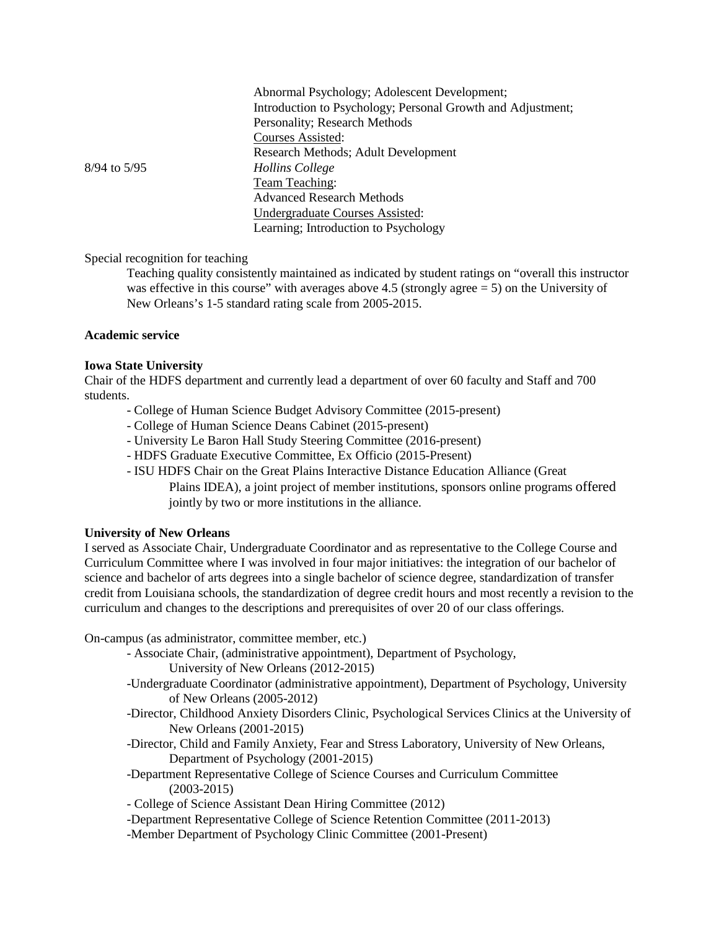|                  | Abnormal Psychology; Adolescent Development;                |
|------------------|-------------------------------------------------------------|
|                  | Introduction to Psychology; Personal Growth and Adjustment; |
|                  | Personality; Research Methods                               |
|                  | Courses Assisted:                                           |
|                  | Research Methods; Adult Development                         |
| $8/94$ to $5/95$ | Hollins College                                             |
|                  | <b>Team Teaching:</b>                                       |
|                  | <b>Advanced Research Methods</b>                            |
|                  | Undergraduate Courses Assisted:                             |
|                  | Learning; Introduction to Psychology                        |

Special recognition for teaching

Teaching quality consistently maintained as indicated by student ratings on "overall this instructor was effective in this course" with averages above 4.5 (strongly agree  $= 5$ ) on the University of New Orleans's 1-5 standard rating scale from 2005-2015.

### **Academic service**

#### **Iowa State University**

Chair of the HDFS department and currently lead a department of over 60 faculty and Staff and 700 students.

- College of Human Science Budget Advisory Committee (2015-present)
- College of Human Science Deans Cabinet (2015-present)
- University Le Baron Hall Study Steering Committee (2016-present)
- HDFS Graduate Executive Committee, Ex Officio (2015-Present)
- ISU HDFS Chair on the Great Plains Interactive Distance Education Alliance (Great Plains IDEA), a joint project of member institutions, sponsors online programs offered jointly by two or more institutions in the alliance.

#### **University of New Orleans**

I served as Associate Chair, Undergraduate Coordinator and as representative to the College Course and Curriculum Committee where I was involved in four major initiatives: the integration of our bachelor of science and bachelor of arts degrees into a single bachelor of science degree, standardization of transfer credit from Louisiana schools, the standardization of degree credit hours and most recently a revision to the curriculum and changes to the descriptions and prerequisites of over 20 of our class offerings.

On-campus (as administrator, committee member, etc.)

- Associate Chair, (administrative appointment), Department of Psychology,
	- University of New Orleans (2012-2015)
- -Undergraduate Coordinator (administrative appointment), Department of Psychology, University of New Orleans (2005-2012)
- -Director, Childhood Anxiety Disorders Clinic, Psychological Services Clinics at the University of New Orleans (2001-2015)
- -Director, Child and Family Anxiety, Fear and Stress Laboratory, University of New Orleans, Department of Psychology (2001-2015)
- -Department Representative College of Science Courses and Curriculum Committee (2003-2015)
- College of Science Assistant Dean Hiring Committee (2012)
- -Department Representative College of Science Retention Committee (2011-2013)
- -Member Department of Psychology Clinic Committee (2001-Present)